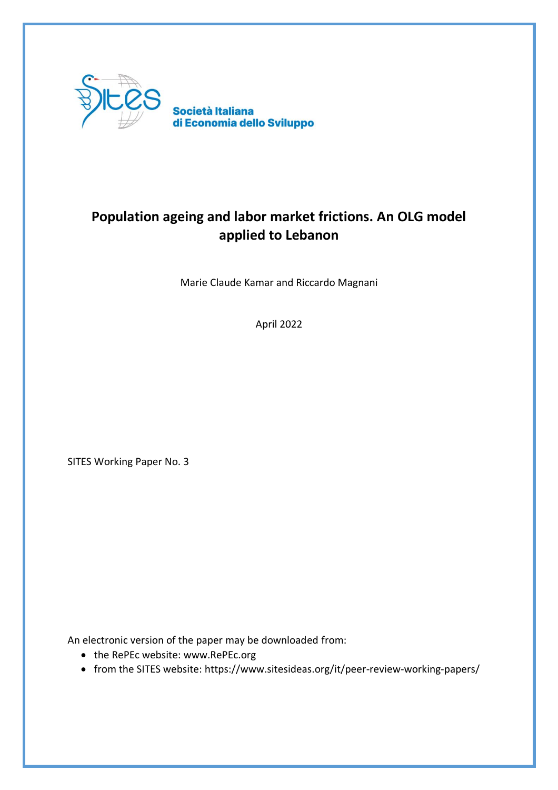

# **Population ageing and labor market frictions. An OLG model applied to Lebanon**

Marie Claude Kamar and Riccardo Magnani

April 2022

SITES Working Paper No. 3

An electronic version of the paper may be downloaded from:

- the RePEc website: www.RePEc.org
- from the SITES website: https://www.sitesideas.org/it/peer-review-working-papers/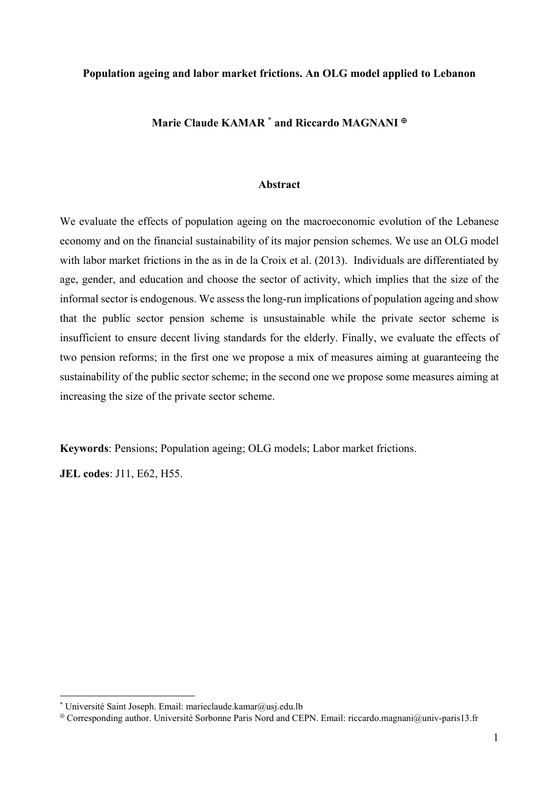## **Population ageing and labor market frictions. An OLG model applied to Lebanon**

# **Marie Claude KAMAR** \*  **and Riccardo MAGNANI**

## **Abstract**

We evaluate the effects of population ageing on the macroeconomic evolution of the Lebanese economy and on the financial sustainability of its major pension schemes. We use an OLG model with labor market frictions in the as in de la Croix et al. (2013). Individuals are differentiated by age, gender, and education and choose the sector of activity, which implies that the size of the informal sector is endogenous. We assess the long-run implications of population ageing and show that the public sector pension scheme is unsustainable while the private sector scheme is insufficient to ensure decent living standards for the elderly. Finally, we evaluate the effects of two pension reforms; in the first one we propose a mix of measures aiming at guaranteeing the sustainability of the public sector scheme; in the second one we propose some measures aiming at increasing the size of the private sector scheme.

**Keywords**: Pensions; Population ageing; OLG models; Labor market frictions.

**JEL codes**: J11, E62, H55.

<u>.</u>

<sup>\*</sup> Université Saint Joseph. Email: marieclaude.kamar@usj.edu.lb

Corresponding author. Université Sorbonne Paris Nord and CEPN. Email: riccardo.magnani@univ-paris13.fr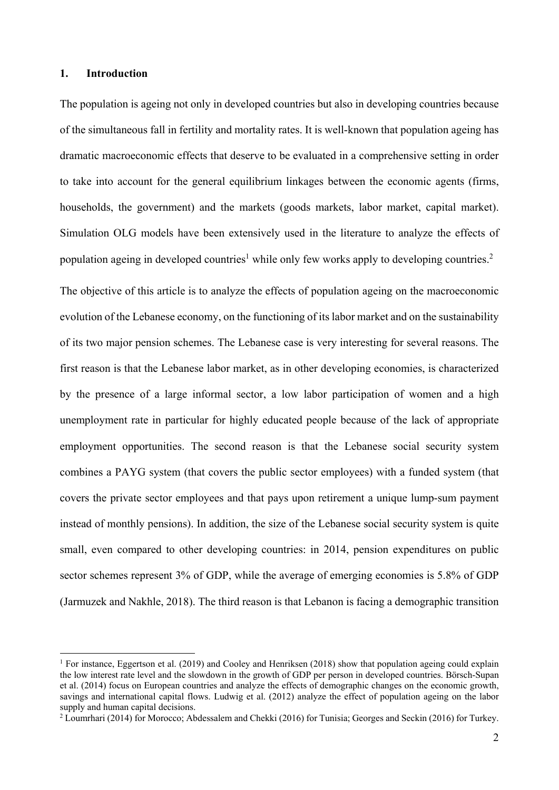## **1. Introduction**

1

The population is ageing not only in developed countries but also in developing countries because of the simultaneous fall in fertility and mortality rates. It is well-known that population ageing has dramatic macroeconomic effects that deserve to be evaluated in a comprehensive setting in order to take into account for the general equilibrium linkages between the economic agents (firms, households, the government) and the markets (goods markets, labor market, capital market). Simulation OLG models have been extensively used in the literature to analyze the effects of population ageing in developed countries<sup>1</sup> while only few works apply to developing countries.<sup>2</sup>

The objective of this article is to analyze the effects of population ageing on the macroeconomic evolution of the Lebanese economy, on the functioning of its labor market and on the sustainability of its two major pension schemes. The Lebanese case is very interesting for several reasons. The first reason is that the Lebanese labor market, as in other developing economies, is characterized by the presence of a large informal sector, a low labor participation of women and a high unemployment rate in particular for highly educated people because of the lack of appropriate employment opportunities. The second reason is that the Lebanese social security system combines a PAYG system (that covers the public sector employees) with a funded system (that covers the private sector employees and that pays upon retirement a unique lump-sum payment instead of monthly pensions). In addition, the size of the Lebanese social security system is quite small, even compared to other developing countries: in 2014, pension expenditures on public sector schemes represent 3% of GDP, while the average of emerging economies is 5.8% of GDP (Jarmuzek and Nakhle, 2018). The third reason is that Lebanon is facing a demographic transition

<sup>&</sup>lt;sup>1</sup> For instance, Eggertson et al. (2019) and Cooley and Henriksen (2018) show that population ageing could explain the low interest rate level and the slowdown in the growth of GDP per person in developed countries. Börsch-Supan et al. (2014) focus on European countries and analyze the effects of demographic changes on the economic growth, savings and international capital flows. Ludwig et al. (2012) analyze the effect of population ageing on the labor supply and human capital decisions.

<sup>&</sup>lt;sup>2</sup> Loumrhari (2014) for Morocco; Abdessalem and Chekki (2016) for Tunisia; Georges and Seckin (2016) for Turkey.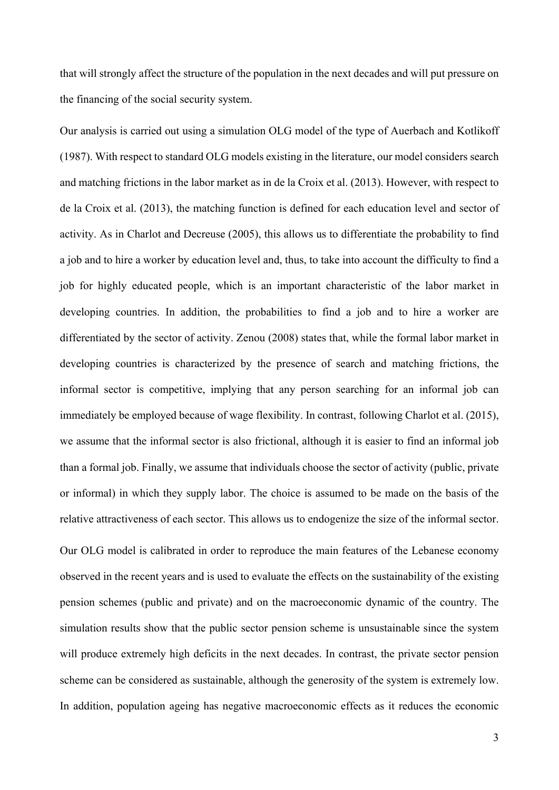that will strongly affect the structure of the population in the next decades and will put pressure on the financing of the social security system.

Our analysis is carried out using a simulation OLG model of the type of Auerbach and Kotlikoff (1987). With respect to standard OLG models existing in the literature, our model considers search and matching frictions in the labor market as in de la Croix et al. (2013). However, with respect to de la Croix et al. (2013), the matching function is defined for each education level and sector of activity. As in Charlot and Decreuse (2005), this allows us to differentiate the probability to find a job and to hire a worker by education level and, thus, to take into account the difficulty to find a job for highly educated people, which is an important characteristic of the labor market in developing countries. In addition, the probabilities to find a job and to hire a worker are differentiated by the sector of activity. Zenou (2008) states that, while the formal labor market in developing countries is characterized by the presence of search and matching frictions, the informal sector is competitive, implying that any person searching for an informal job can immediately be employed because of wage flexibility. In contrast, following Charlot et al. (2015), we assume that the informal sector is also frictional, although it is easier to find an informal job than a formal job. Finally, we assume that individuals choose the sector of activity (public, private or informal) in which they supply labor. The choice is assumed to be made on the basis of the relative attractiveness of each sector. This allows us to endogenize the size of the informal sector.

Our OLG model is calibrated in order to reproduce the main features of the Lebanese economy observed in the recent years and is used to evaluate the effects on the sustainability of the existing pension schemes (public and private) and on the macroeconomic dynamic of the country. The simulation results show that the public sector pension scheme is unsustainable since the system will produce extremely high deficits in the next decades. In contrast, the private sector pension scheme can be considered as sustainable, although the generosity of the system is extremely low. In addition, population ageing has negative macroeconomic effects as it reduces the economic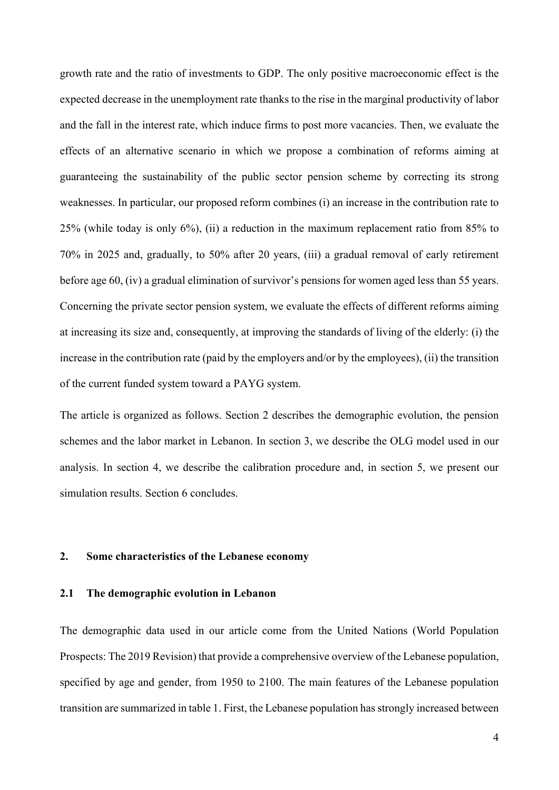growth rate and the ratio of investments to GDP. The only positive macroeconomic effect is the expected decrease in the unemployment rate thanks to the rise in the marginal productivity of labor and the fall in the interest rate, which induce firms to post more vacancies. Then, we evaluate the effects of an alternative scenario in which we propose a combination of reforms aiming at guaranteeing the sustainability of the public sector pension scheme by correcting its strong weaknesses. In particular, our proposed reform combines (i) an increase in the contribution rate to 25% (while today is only 6%), (ii) a reduction in the maximum replacement ratio from 85% to 70% in 2025 and, gradually, to 50% after 20 years, (iii) a gradual removal of early retirement before age 60, (iv) a gradual elimination of survivor's pensions for women aged less than 55 years. Concerning the private sector pension system, we evaluate the effects of different reforms aiming at increasing its size and, consequently, at improving the standards of living of the elderly: (i) the increase in the contribution rate (paid by the employers and/or by the employees), (ii) the transition of the current funded system toward a PAYG system.

The article is organized as follows. Section 2 describes the demographic evolution, the pension schemes and the labor market in Lebanon. In section 3, we describe the OLG model used in our analysis. In section 4, we describe the calibration procedure and, in section 5, we present our simulation results. Section 6 concludes.

## **2. Some characteristics of the Lebanese economy**

## **2.1 The demographic evolution in Lebanon**

The demographic data used in our article come from the United Nations (World Population Prospects: The 2019 Revision) that provide a comprehensive overview of the Lebanese population, specified by age and gender, from 1950 to 2100. The main features of the Lebanese population transition are summarized in table 1. First, the Lebanese population has strongly increased between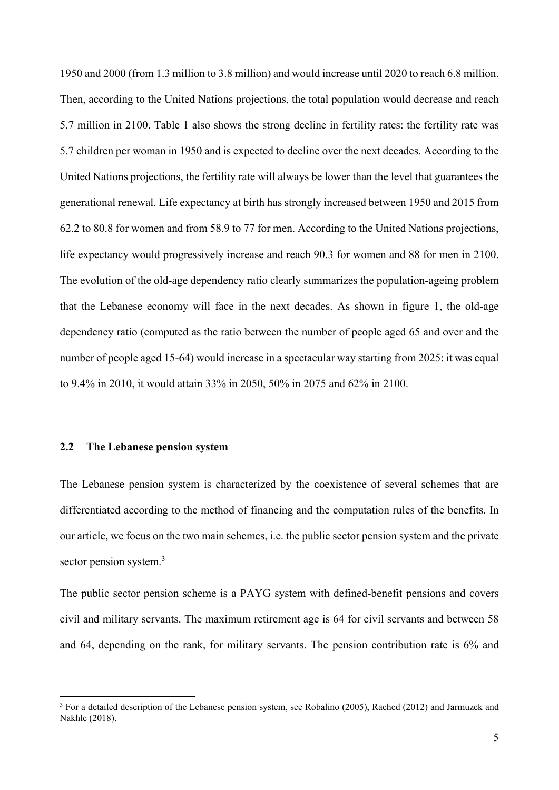1950 and 2000 (from 1.3 million to 3.8 million) and would increase until 2020 to reach 6.8 million. Then, according to the United Nations projections, the total population would decrease and reach 5.7 million in 2100. Table 1 also shows the strong decline in fertility rates: the fertility rate was 5.7 children per woman in 1950 and is expected to decline over the next decades. According to the United Nations projections, the fertility rate will always be lower than the level that guarantees the generational renewal. Life expectancy at birth has strongly increased between 1950 and 2015 from 62.2 to 80.8 for women and from 58.9 to 77 for men. According to the United Nations projections, life expectancy would progressively increase and reach 90.3 for women and 88 for men in 2100. The evolution of the old-age dependency ratio clearly summarizes the population-ageing problem that the Lebanese economy will face in the next decades. As shown in figure 1, the old-age dependency ratio (computed as the ratio between the number of people aged 65 and over and the number of people aged 15-64) would increase in a spectacular way starting from 2025: it was equal to 9.4% in 2010, it would attain 33% in 2050, 50% in 2075 and 62% in 2100.

# **2.2 The Lebanese pension system**

<u>.</u>

The Lebanese pension system is characterized by the coexistence of several schemes that are differentiated according to the method of financing and the computation rules of the benefits. In our article, we focus on the two main schemes, i.e. the public sector pension system and the private sector pension system.<sup>3</sup>

The public sector pension scheme is a PAYG system with defined-benefit pensions and covers civil and military servants. The maximum retirement age is 64 for civil servants and between 58 and 64, depending on the rank, for military servants. The pension contribution rate is 6% and

<sup>&</sup>lt;sup>3</sup> For a detailed description of the Lebanese pension system, see Robalino (2005), Rached (2012) and Jarmuzek and Nakhle (2018).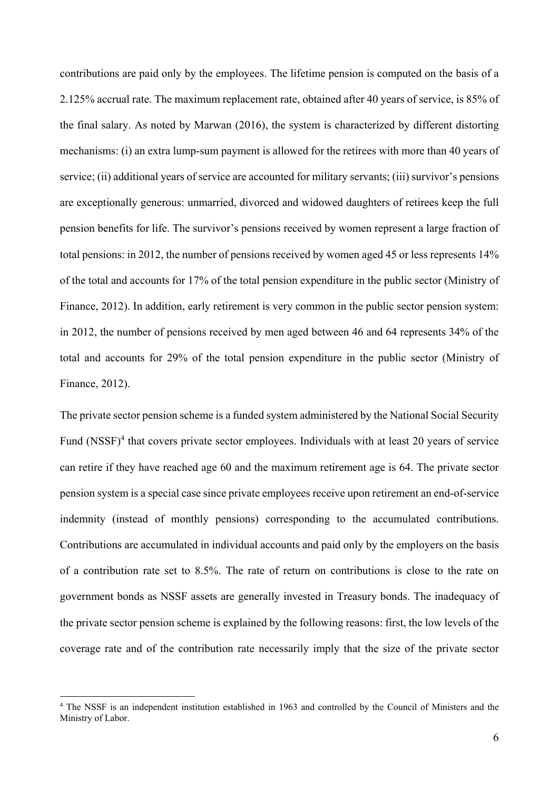contributions are paid only by the employees. The lifetime pension is computed on the basis of a 2.125% accrual rate. The maximum replacement rate, obtained after 40 years of service, is 85% of the final salary. As noted by Marwan (2016), the system is characterized by different distorting mechanisms: (i) an extra lump-sum payment is allowed for the retirees with more than 40 years of service; (ii) additional years of service are accounted for military servants; (iii) survivor's pensions are exceptionally generous: unmarried, divorced and widowed daughters of retirees keep the full pension benefits for life. The survivor's pensions received by women represent a large fraction of total pensions: in 2012, the number of pensions received by women aged 45 or less represents 14% of the total and accounts for 17% of the total pension expenditure in the public sector (Ministry of Finance, 2012). In addition, early retirement is very common in the public sector pension system: in 2012, the number of pensions received by men aged between 46 and 64 represents 34% of the total and accounts for 29% of the total pension expenditure in the public sector (Ministry of Finance, 2012).

The private sector pension scheme is a funded system administered by the National Social Security Fund  $(NSSF)^4$  that covers private sector employees. Individuals with at least 20 years of service can retire if they have reached age 60 and the maximum retirement age is 64. The private sector pension system is a special case since private employees receive upon retirement an end-of-service indemnity (instead of monthly pensions) corresponding to the accumulated contributions. Contributions are accumulated in individual accounts and paid only by the employers on the basis of a contribution rate set to 8.5%. The rate of return on contributions is close to the rate on government bonds as NSSF assets are generally invested in Treasury bonds. The inadequacy of the private sector pension scheme is explained by the following reasons: first, the low levels of the coverage rate and of the contribution rate necessarily imply that the size of the private sector

<u>.</u>

<sup>&</sup>lt;sup>4</sup> The NSSF is an independent institution established in 1963 and controlled by the Council of Ministers and the Ministry of Labor.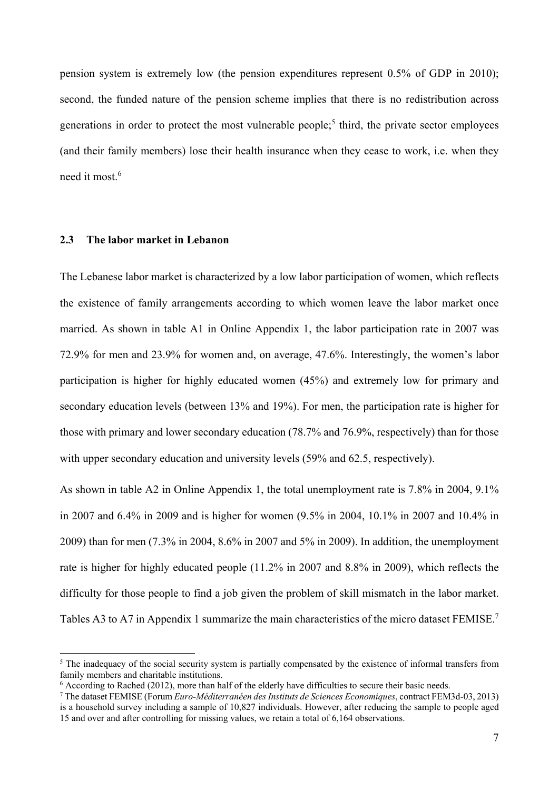pension system is extremely low (the pension expenditures represent 0.5% of GDP in 2010); second, the funded nature of the pension scheme implies that there is no redistribution across generations in order to protect the most vulnerable people;<sup>5</sup> third, the private sector employees (and their family members) lose their health insurance when they cease to work, i.e. when they need it most.<sup>6</sup>

## **2.3 The labor market in Lebanon**

1

The Lebanese labor market is characterized by a low labor participation of women, which reflects the existence of family arrangements according to which women leave the labor market once married. As shown in table A1 in Online Appendix 1, the labor participation rate in 2007 was 72.9% for men and 23.9% for women and, on average, 47.6%. Interestingly, the women's labor participation is higher for highly educated women (45%) and extremely low for primary and secondary education levels (between 13% and 19%). For men, the participation rate is higher for those with primary and lower secondary education (78.7% and 76.9%, respectively) than for those with upper secondary education and university levels (59% and 62.5, respectively).

As shown in table A2 in Online Appendix 1, the total unemployment rate is 7.8% in 2004, 9.1% in 2007 and 6.4% in 2009 and is higher for women (9.5% in 2004, 10.1% in 2007 and 10.4% in 2009) than for men (7.3% in 2004, 8.6% in 2007 and 5% in 2009). In addition, the unemployment rate is higher for highly educated people (11.2% in 2007 and 8.8% in 2009), which reflects the difficulty for those people to find a job given the problem of skill mismatch in the labor market. Tables A3 to A7 in Appendix 1 summarize the main characteristics of the micro dataset FEMISE.<sup>7</sup>

<sup>&</sup>lt;sup>5</sup> The inadequacy of the social security system is partially compensated by the existence of informal transfers from family members and charitable institutions.

<sup>&</sup>lt;sup>6</sup> According to Rached (2012), more than half of the elderly have difficulties to secure their basic needs.

<sup>7</sup> The dataset FEMISE (Forum *Euro-Méditerranéen des Instituts de Sciences Economiques*, contract FEM3d-03, 2013) is a household survey including a sample of 10,827 individuals. However, after reducing the sample to people aged 15 and over and after controlling for missing values, we retain a total of 6,164 observations.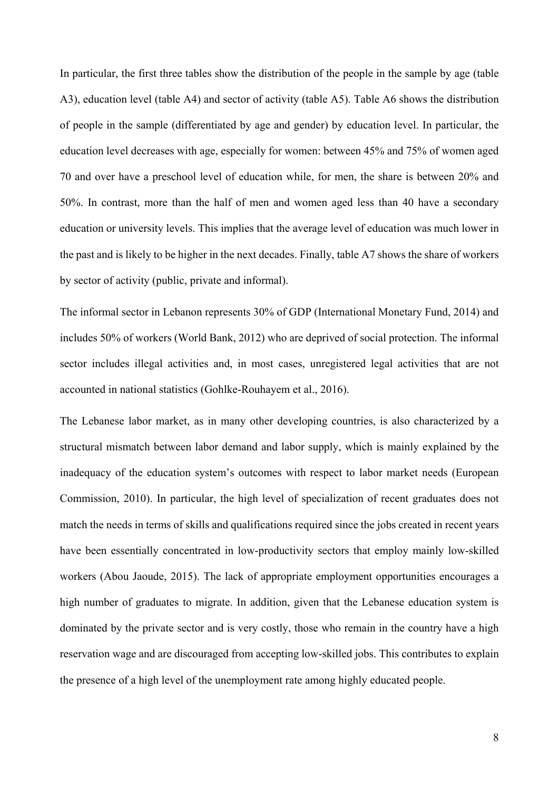In particular, the first three tables show the distribution of the people in the sample by age (table A3), education level (table A4) and sector of activity (table A5). Table A6 shows the distribution of people in the sample (differentiated by age and gender) by education level. In particular, the education level decreases with age, especially for women: between 45% and 75% of women aged 70 and over have a preschool level of education while, for men, the share is between 20% and 50%. In contrast, more than the half of men and women aged less than 40 have a secondary education or university levels. This implies that the average level of education was much lower in the past and is likely to be higher in the next decades. Finally, table A7 shows the share of workers by sector of activity (public, private and informal).

The informal sector in Lebanon represents 30% of GDP (International Monetary Fund, 2014) and includes 50% of workers (World Bank, 2012) who are deprived of social protection. The informal sector includes illegal activities and, in most cases, unregistered legal activities that are not accounted in national statistics (Gohlke-Rouhayem et al., 2016).

The Lebanese labor market, as in many other developing countries, is also characterized by a structural mismatch between labor demand and labor supply, which is mainly explained by the inadequacy of the education system's outcomes with respect to labor market needs (European Commission, 2010). In particular, the high level of specialization of recent graduates does not match the needs in terms of skills and qualifications required since the jobs created in recent years have been essentially concentrated in low-productivity sectors that employ mainly low-skilled workers (Abou Jaoude, 2015). The lack of appropriate employment opportunities encourages a high number of graduates to migrate. In addition, given that the Lebanese education system is dominated by the private sector and is very costly, those who remain in the country have a high reservation wage and are discouraged from accepting low-skilled jobs. This contributes to explain the presence of a high level of the unemployment rate among highly educated people.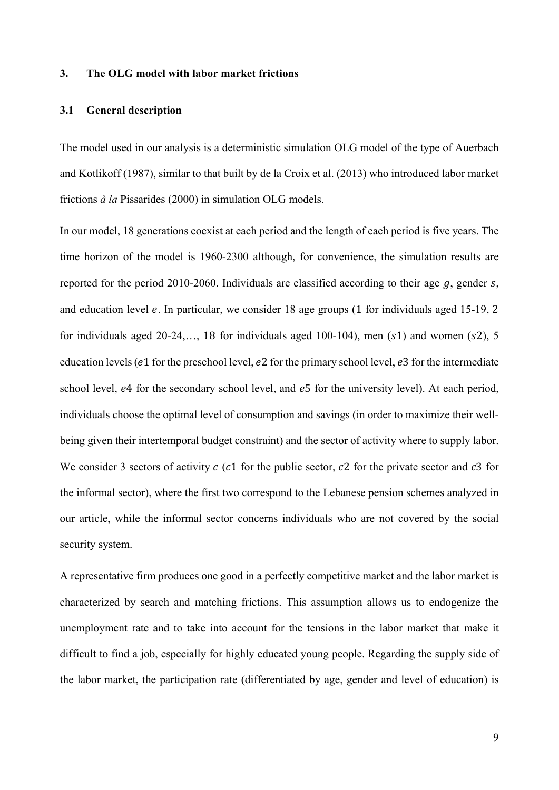## **3. The OLG model with labor market frictions**

## **3.1 General description**

The model used in our analysis is a deterministic simulation OLG model of the type of Auerbach and Kotlikoff (1987), similar to that built by de la Croix et al. (2013) who introduced labor market frictions *à la* Pissarides (2000) in simulation OLG models.

In our model, 18 generations coexist at each period and the length of each period is five years. The time horizon of the model is 1960-2300 although, for convenience, the simulation results are reported for the period 2010-2060. Individuals are classified according to their age  $q$ , gender  $s$ , and education level  $e$ . In particular, we consider 18 age groups (1 for individuals aged 15-19, 2 for individuals aged 20-24,..., 18 for individuals aged 100-104), men  $(s1)$  and women  $(s2)$ , 5 education levels ( $e1$  for the preschool level,  $e2$  for the primary school level,  $e3$  for the intermediate school level, e4 for the secondary school level, and e5 for the university level). At each period, individuals choose the optimal level of consumption and savings (in order to maximize their wellbeing given their intertemporal budget constraint) and the sector of activity where to supply labor. We consider 3 sectors of activity  $c$  (c1 for the public sector, c2 for the private sector and c3 for the informal sector), where the first two correspond to the Lebanese pension schemes analyzed in our article, while the informal sector concerns individuals who are not covered by the social security system.

A representative firm produces one good in a perfectly competitive market and the labor market is characterized by search and matching frictions. This assumption allows us to endogenize the unemployment rate and to take into account for the tensions in the labor market that make it difficult to find a job, especially for highly educated young people. Regarding the supply side of the labor market, the participation rate (differentiated by age, gender and level of education) is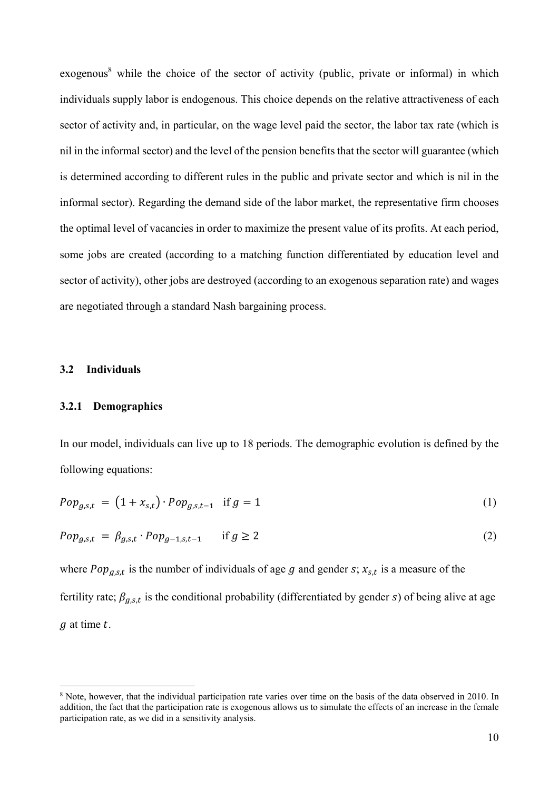exogenous<sup>8</sup> while the choice of the sector of activity (public, private or informal) in which individuals supply labor is endogenous. This choice depends on the relative attractiveness of each sector of activity and, in particular, on the wage level paid the sector, the labor tax rate (which is nil in the informal sector) and the level of the pension benefits that the sector will guarantee (which is determined according to different rules in the public and private sector and which is nil in the informal sector). Regarding the demand side of the labor market, the representative firm chooses the optimal level of vacancies in order to maximize the present value of its profits. At each period, some jobs are created (according to a matching function differentiated by education level and sector of activity), other jobs are destroyed (according to an exogenous separation rate) and wages are negotiated through a standard Nash bargaining process.

### **3.2 Individuals**

1

# **3.2.1 Demographics**

In our model, individuals can live up to 18 periods. The demographic evolution is defined by the following equations:

$$
Pop_{g,s,t} = (1 + x_{s,t}) \cdot Pop_{g,s,t-1} \text{ if } g = 1
$$
 (1)

$$
Pop_{g,s,t} = \beta_{g,s,t} \cdot Pop_{g-1,s,t-1} \quad \text{if } g \ge 2
$$
 (2)

where  $Pop_{a.s.t}$  is the number of individuals of age g and gender s;  $x_{s.t}$  is a measure of the fertility rate;  $\beta_{g,s,t}$  is the conditional probability (differentiated by gender s) of being alive at age  $q$  at time  $t$ .

<sup>&</sup>lt;sup>8</sup> Note, however, that the individual participation rate varies over time on the basis of the data observed in 2010. In addition, the fact that the participation rate is exogenous allows us to simulate the effects of an increase in the female participation rate, as we did in a sensitivity analysis.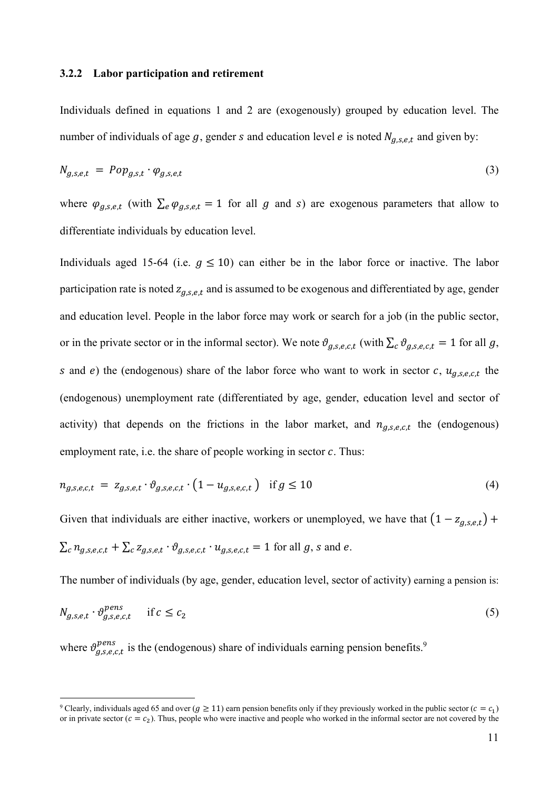#### **3.2.2 Labor participation and retirement**

Individuals defined in equations 1 and 2 are (exogenously) grouped by education level. The number of individuals of age g, gender s and education level e is noted  $N_{q,s,e,t}$  and given by:

$$
N_{g,s,e,t} = Pop_{g,s,t} \cdot \varphi_{g,s,e,t} \tag{3}
$$

where  $\varphi_{g,s,e,t}$  (with  $\sum_{e} \varphi_{g,s,e,t} = 1$  for all g and s) are exogenous parameters that allow to differentiate individuals by education level.

Individuals aged 15-64 (i.e.  $q \le 10$ ) can either be in the labor force or inactive. The labor participation rate is noted  $z_{q,s,e,t}$  and is assumed to be exogenous and differentiated by age, gender and education level. People in the labor force may work or search for a job (in the public sector, or in the private sector or in the informal sector). We note  $\vartheta_{q,s,e,c,t}$  (with  $\sum_{c} \vartheta_{q,s,e,c,t} = 1$  for all g, s and e) the (endogenous) share of the labor force who want to work in sector c,  $u_{q,s,e,c,t}$  the (endogenous) unemployment rate (differentiated by age, gender, education level and sector of activity) that depends on the frictions in the labor market, and  $n_{g,s,e,c,t}$  the (endogenous) employment rate, i.e. the share of people working in sector  $c$ . Thus:

$$
n_{g,s,e,c,t} = z_{g,s,e,t} \cdot \vartheta_{g,s,e,c,t} \cdot (1 - u_{g,s,e,c,t}) \text{ if } g \le 10
$$
 (4)

Given that individuals are either inactive, workers or unemployed, we have that  $(1 - z_{q,s,e,t})$  +  $\sum_{c} n_{q,s,e,c,t} + \sum_{c} z_{q,s,e,t} \cdot \vartheta_{q,s,e,c,t} \cdot u_{q,s,e,c,t} = 1$  for all g, s and e.

The number of individuals (by age, gender, education level, sector of activity) earning a pension is:

$$
N_{g,s,e,t} \cdot \vartheta_{g,s,e,c,t}^{pens} \quad \text{if } c \le c_2 \tag{5}
$$

where  $\vartheta_{g,s,e,c,t}^{pens}$  is the (endogenous) share of individuals earning pension benefits.<sup>9</sup>

<u>.</u>

<sup>&</sup>lt;sup>9</sup> Clearly, individuals aged 65 and over ( $g \ge 11$ ) earn pension benefits only if they previously worked in the public sector ( $c = c_1$ ) or in private sector  $(c = c_2)$ . Thus, people who were inactive and people who worked in the informal sector are not covered by the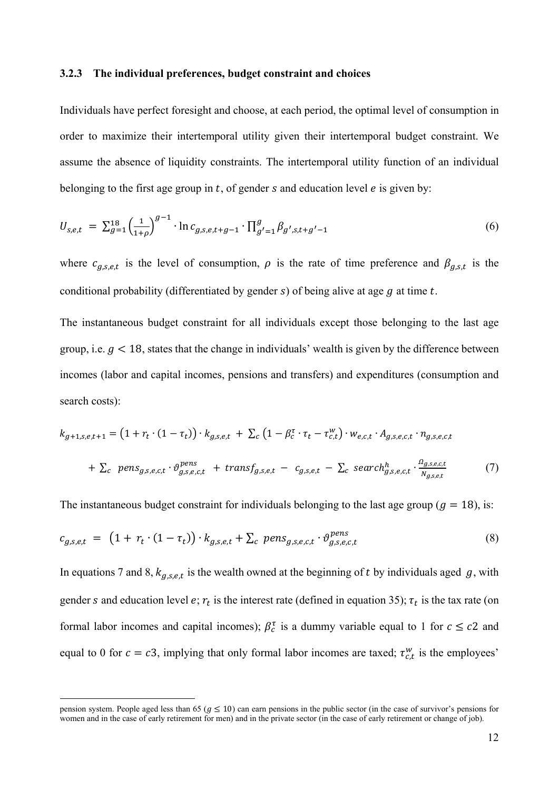### **3.2.3 The individual preferences, budget constraint and choices**

Individuals have perfect foresight and choose, at each period, the optimal level of consumption in order to maximize their intertemporal utility given their intertemporal budget constraint. We assume the absence of liquidity constraints. The intertemporal utility function of an individual belonging to the first age group in  $t$ , of gender  $s$  and education level  $e$  is given by:

$$
U_{s,e,t} = \sum_{g=1}^{18} \left(\frac{1}{1+\rho}\right)^{g-1} \cdot \ln c_{g,s,e,t+g-1} \cdot \prod_{g'=1}^{g} \beta_{g',s,t+g'-1}
$$
(6)

where  $c_{g,s,e,t}$  is the level of consumption,  $\rho$  is the rate of time preference and  $\beta_{g,s,t}$  is the conditional probability (differentiated by gender  $s$ ) of being alive at age  $g$  at time  $t$ .

The instantaneous budget constraint for all individuals except those belonging to the last age group, i.e.  $q < 18$ , states that the change in individuals' wealth is given by the difference between incomes (labor and capital incomes, pensions and transfers) and expenditures (consumption and search costs):

$$
k_{g+1,s,e,t+1} = \left(1 + r_t \cdot (1 - \tau_t)\right) \cdot k_{g,s,e,t} + \sum_c \left(1 - \beta_c^{\tau} \cdot \tau_t - \tau_{c,t}^w\right) \cdot w_{e,c,t} \cdot A_{g,s,e,c,t} \cdot n_{g,s,e,c,t}
$$

$$
+ \sum_c \text{ pens}_{g,s,e,c,t} \cdot \vartheta_{g,s,e,c,t}^{pens} + \text{transf}_{g,s,e,t} - c_{g,s,e,t} - \sum_c \text{search}_{g,s,e,c,t}^h \cdot \frac{\vartheta_{g,s,e,t}}{N_{g,s,e,t}} \tag{7}
$$

The instantaneous budget constraint for individuals belonging to the last age group ( $g = 18$ ), is:

$$
c_{g,s,e,t} = (1 + r_t \cdot (1 - \tau_t)) \cdot k_{g,s,e,t} + \sum_c \text{ pens}_{g,s,e,c,t} \cdot \vartheta_{g,s,e,c,t}^{\text{pens}} \tag{8}
$$

In equations 7 and 8,  $k_{g,s,e,t}$  is the wealth owned at the beginning of t by individuals aged g, with gender s and education level e;  $r_t$  is the interest rate (defined in equation 35);  $\tau_t$  is the tax rate (on formal labor incomes and capital incomes);  $\beta_c^{\tau}$  is a dummy variable equal to 1 for  $c \leq c2$  and equal to 0 for  $c = c3$ , implying that only formal labor incomes are taxed;  $\tau_{c,t}^w$  is the employees'

pension system. People aged less than 65 ( $g \le 10$ ) can earn pensions in the public sector (in the case of survivor's pensions for women and in the case of early retirement for men) and in the private sector (in the case of early retirement or change of job).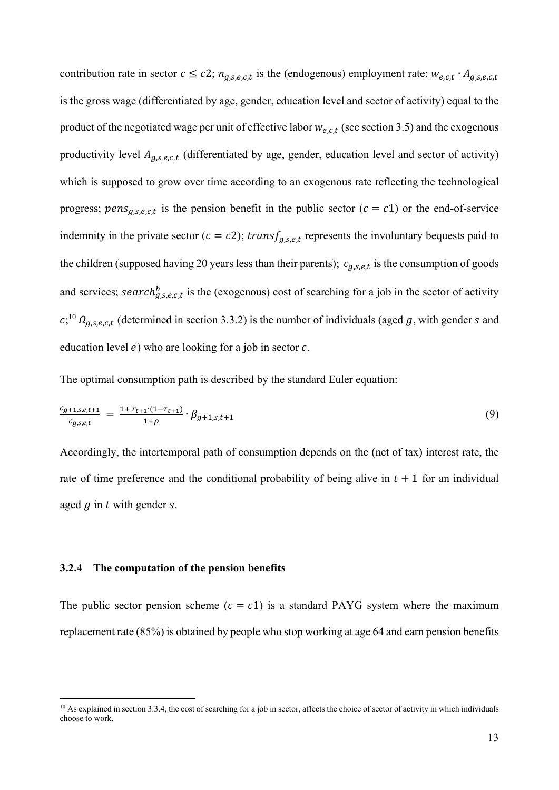contribution rate in sector  $c \leq c2$ ;  $n_{g,s,e,c,t}$  is the (endogenous) employment rate;  $w_{e,c,t} \cdot A_{g,s,e,c,t}$ is the gross wage (differentiated by age, gender, education level and sector of activity) equal to the product of the negotiated wage per unit of effective labor  $w_{e,c,t}$  (see section 3.5) and the exogenous productivity level  $A_{g,s,e,c,t}$  (differentiated by age, gender, education level and sector of activity) which is supposed to grow over time according to an exogenous rate reflecting the technological progress; pens<sub>g,s,e,c,t</sub> is the pension benefit in the public sector ( $c = c1$ ) or the end-of-service indemnity in the private sector ( $c = c2$ ); transf<sub>g,s,e,t</sub> represents the involuntary bequests paid to the children (supposed having 20 years less than their parents);  $c_{a,s,e,t}$  is the consumption of goods and services; search $h_{g,s,e,c,t}$  is the (exogenous) cost of searching for a job in the sector of activity  $c;^{10} \Omega_{g,s,e,c,t}$  (determined in section 3.3.2) is the number of individuals (aged g, with gender s and education level  $e$ ) who are looking for a job in sector  $c$ .

The optimal consumption path is described by the standard Euler equation:

$$
\frac{c_{g+1,s,e,t+1}}{c_{g,s,e,t}} = \frac{1 + r_{t+1} \cdot (1 - r_{t+1})}{1 + \rho} \cdot \beta_{g+1,s,t+1} \tag{9}
$$

Accordingly, the intertemporal path of consumption depends on the (net of tax) interest rate, the rate of time preference and the conditional probability of being alive in  $t + 1$  for an individual aged  $q$  in  $t$  with gender  $s$ .

## **3.2.4 The computation of the pension benefits**

1

The public sector pension scheme ( $c = c1$ ) is a standard PAYG system where the maximum replacement rate (85%) is obtained by people who stop working at age 64 and earn pension benefits

 $10$  As explained in section 3.3.4, the cost of searching for a job in sector, affects the choice of sector of activity in which individuals choose to work.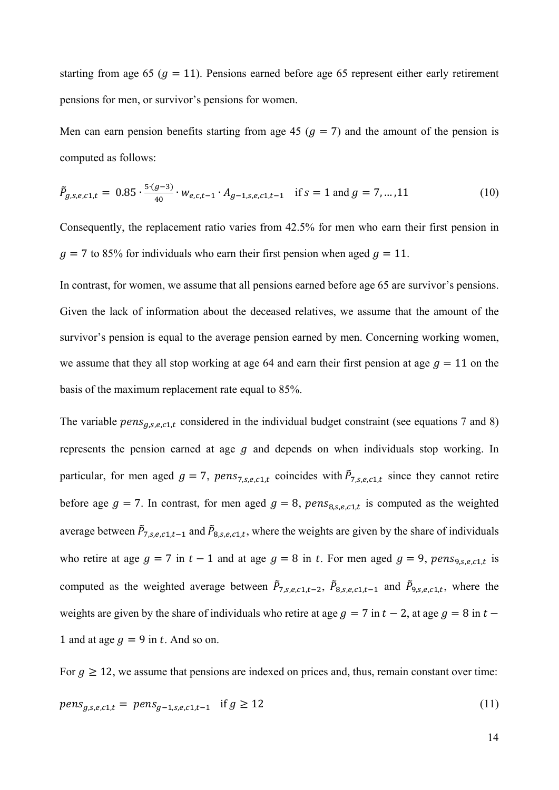starting from age 65 ( $g = 11$ ). Pensions earned before age 65 represent either early retirement pensions for men, or survivor's pensions for women.

Men can earn pension benefits starting from age 45 ( $g = 7$ ) and the amount of the pension is computed as follows:

$$
\tilde{P}_{g,s,e,c1,t} = 0.85 \cdot \frac{5 \cdot (g-3)}{40} \cdot w_{e,c,t-1} \cdot A_{g-1,s,e,c1,t-1} \quad \text{if } s = 1 \text{ and } g = 7, \dots, 11 \tag{10}
$$

Consequently, the replacement ratio varies from 42.5% for men who earn their first pension in  $g = 7$  to 85% for individuals who earn their first pension when aged  $g = 11$ .

In contrast, for women, we assume that all pensions earned before age 65 are survivor's pensions. Given the lack of information about the deceased relatives, we assume that the amount of the survivor's pension is equal to the average pension earned by men. Concerning working women, we assume that they all stop working at age 64 and earn their first pension at age  $g = 11$  on the basis of the maximum replacement rate equal to 85%.

The variable  $pens_{q,s,e,c1,t}$  considered in the individual budget constraint (see equations 7 and 8) represents the pension earned at age  $q$  and depends on when individuals stop working. In particular, for men aged  $g = 7$ ,  $pens_{7,s,e,c1,t}$  coincides with  $\tilde{P}_{7,s,e,c1,t}$  since they cannot retire before age  $g = 7$ . In contrast, for men aged  $g = 8$ ,  $pens_{8,s,e,c1,t}$  is computed as the weighted average between  $\tilde{P}_{7,s,e,c1,t-1}$  and  $\tilde{P}_{8,s,e,c1,t}$ , where the weights are given by the share of individuals who retire at age  $g = 7$  in  $t - 1$  and at age  $g = 8$  in t. For men aged  $g = 9$ ,  $pens_{9, s, e, c1, t}$  is computed as the weighted average between  $\tilde{P}_{7,s,e,c1,t-2}$ ,  $\tilde{P}_{8,s,e,c1,t-1}$  and  $\tilde{P}_{9,s,e,c1,t}$ , where the weights are given by the share of individuals who retire at age  $g = 7$  in  $t - 2$ , at age  $g = 8$  in  $t -$ 1 and at age  $g = 9$  in t. And so on.

For  $g \ge 12$ , we assume that pensions are indexed on prices and, thus, remain constant over time:  $pens_{a.s.e.c1,t} = pens_{a-1.s.e.c1,t-1}$  if  $g \ge 12$  (11)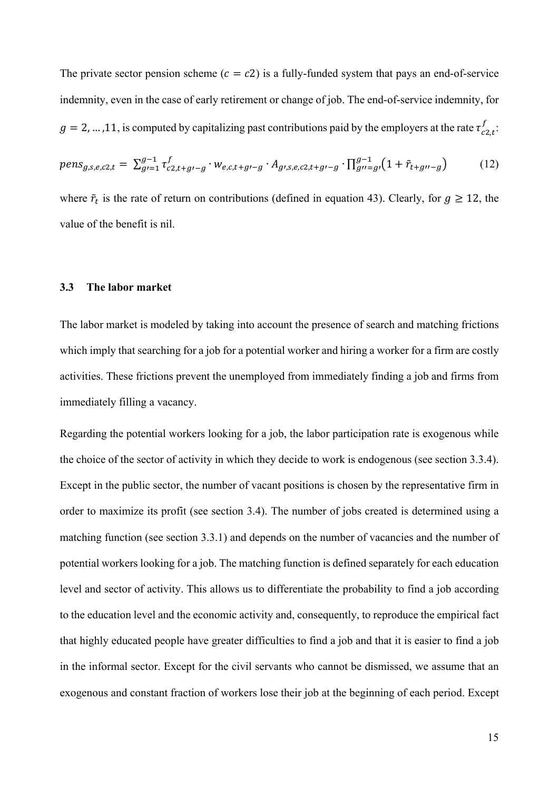The private sector pension scheme ( $c = c2$ ) is a fully-funded system that pays an end-of-service indemnity, even in the case of early retirement or change of job. The end-of-service indemnity, for  $g = 2, ..., 11$ , is computed by capitalizing past contributions paid by the employers at the rate  $\tau_{c2,t}^f$ :

$$
pens_{g,s,e,c2,t} = \sum_{g=1}^{g-1} \tau_{c2,t+g-g}^f \cdot w_{e,c,t+g-g} \cdot A_{g,s,e,c2,t+g-g} \cdot \prod_{g=g}^{g-1} (1 + \tilde{r}_{t+g-g}) \tag{12}
$$

where  $\tilde{r}_t$  is the rate of return on contributions (defined in equation 43). Clearly, for  $g \ge 12$ , the value of the benefit is nil.

#### **3.3 The labor market**

The labor market is modeled by taking into account the presence of search and matching frictions which imply that searching for a job for a potential worker and hiring a worker for a firm are costly activities. These frictions prevent the unemployed from immediately finding a job and firms from immediately filling a vacancy.

Regarding the potential workers looking for a job, the labor participation rate is exogenous while the choice of the sector of activity in which they decide to work is endogenous (see section 3.3.4). Except in the public sector, the number of vacant positions is chosen by the representative firm in order to maximize its profit (see section 3.4). The number of jobs created is determined using a matching function (see section 3.3.1) and depends on the number of vacancies and the number of potential workers looking for a job. The matching function is defined separately for each education level and sector of activity. This allows us to differentiate the probability to find a job according to the education level and the economic activity and, consequently, to reproduce the empirical fact that highly educated people have greater difficulties to find a job and that it is easier to find a job in the informal sector. Except for the civil servants who cannot be dismissed, we assume that an exogenous and constant fraction of workers lose their job at the beginning of each period. Except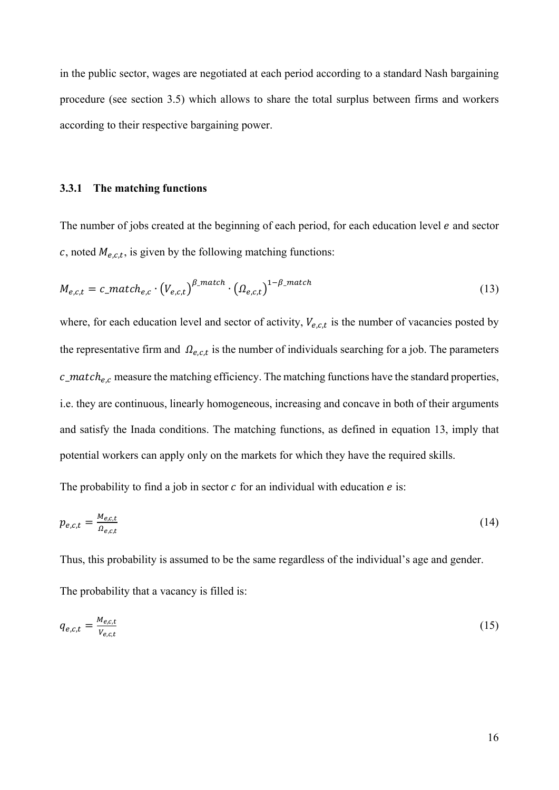in the public sector, wages are negotiated at each period according to a standard Nash bargaining procedure (see section 3.5) which allows to share the total surplus between firms and workers according to their respective bargaining power.

#### **3.3.1 The matching functions**

The number of jobs created at the beginning of each period, for each education level  $e$  and sector c, noted  $M_{e,c,t}$ , is given by the following matching functions:

$$
M_{e,c,t} = c\_match_{e,c} \cdot (V_{e,c,t})^{\beta\_match} \cdot (\Omega_{e,c,t})^{1-\beta\_match}
$$
 (13)

where, for each education level and sector of activity,  $V_{e.c.t}$  is the number of vacancies posted by the representative firm and  $\Omega_{e,c,t}$  is the number of individuals searching for a job. The parameters  $c$  match<sub>e,c</sub> measure the matching efficiency. The matching functions have the standard properties, i.e. they are continuous, linearly homogeneous, increasing and concave in both of their arguments and satisfy the Inada conditions. The matching functions, as defined in equation 13, imply that potential workers can apply only on the markets for which they have the required skills.

The probability to find a job in sector  $c$  for an individual with education  $e$  is:

$$
p_{e,c,t} = \frac{M_{e,c,t}}{\Omega_{e,c,t}}\tag{14}
$$

Thus, this probability is assumed to be the same regardless of the individual's age and gender.

The probability that a vacancy is filled is:

$$
q_{e,c,t} = \frac{M_{e,c,t}}{V_{e,c,t}}\tag{15}
$$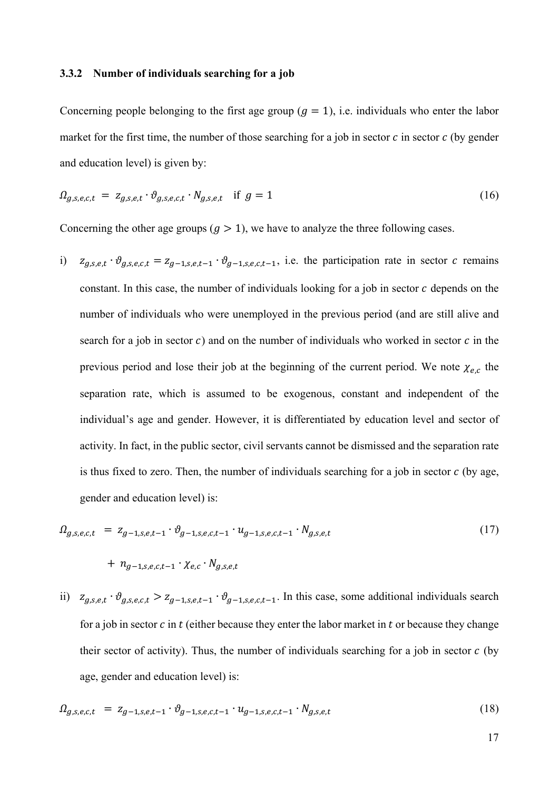#### **3.3.2 Number of individuals searching for a job**

Concerning people belonging to the first age group  $(g = 1)$ , i.e. individuals who enter the labor market for the first time, the number of those searching for a job in sector  $c$  in sector  $c$  (by gender and education level) is given by:

$$
\Omega_{g,s,e,c,t} = z_{g,s,e,t} \cdot \vartheta_{g,s,e,c,t} \cdot N_{g,s,e,t} \quad \text{if } g = 1 \tag{16}
$$

Concerning the other age groups  $(g > 1)$ , we have to analyze the three following cases.

i)  $z_{g,s,e,t} \cdot \vartheta_{g,s,e,c,t} = z_{g-1,s,e,t-1} \cdot \vartheta_{g-1,s,e,c,t-1}$ , i.e. the participation rate in sector c remains constant. In this case, the number of individuals looking for a job in sector  $c$  depends on the number of individuals who were unemployed in the previous period (and are still alive and search for a job in sector  $c$ ) and on the number of individuals who worked in sector  $c$  in the previous period and lose their job at the beginning of the current period. We note  $\chi_{e,c}$  the separation rate, which is assumed to be exogenous, constant and independent of the individual's age and gender. However, it is differentiated by education level and sector of activity. In fact, in the public sector, civil servants cannot be dismissed and the separation rate is thus fixed to zero. Then, the number of individuals searching for a job in sector  $c$  (by age, gender and education level) is:

$$
\Omega_{g,s,e,c,t} = z_{g-1,s,e,t-1} \cdot \vartheta_{g-1,s,e,c,t-1} \cdot u_{g-1,s,e,c,t-1} \cdot N_{g,s,e,t}
$$
\n
$$
+ n_{g-1,s,e,c,t-1} \cdot \chi_{e,c} \cdot N_{g,s,e,t}
$$
\n
$$
(17)
$$

ii)  $z_{g,s,e,t} \cdot \vartheta_{g,s,e,c,t} > z_{g-1,s,e,t-1} \cdot \vartheta_{g-1,s,e,c,t-1}$ . In this case, some additional individuals search for a job in sector  $c$  in  $t$  (either because they enter the labor market in  $t$  or because they change their sector of activity). Thus, the number of individuals searching for a job in sector  $c$  (by age, gender and education level) is:

$$
\Omega_{g,s,e,c,t} = z_{g-1,s,e,t-1} \cdot \vartheta_{g-1,s,e,c,t-1} \cdot u_{g-1,s,e,c,t-1} \cdot N_{g,s,e,t} \tag{18}
$$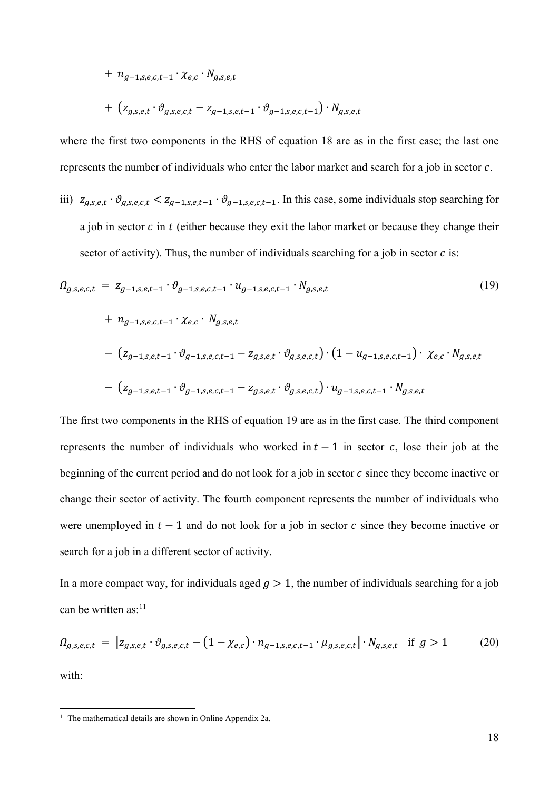$$
+ n_{g-1,s,e,c,t-1} \cdot \chi_{e,c} \cdot N_{g,s,e,t}
$$

$$
+ (z_{g,s,e,t} \cdot \vartheta_{g,s,e,c,t} - z_{g-1,s,e,t-1} \cdot \vartheta_{g-1,s,e,c,t-1}) \cdot N_{g,s,e,t}
$$

where the first two components in the RHS of equation 18 are as in the first case; the last one represents the number of individuals who enter the labor market and search for a job in sector  $c$ .

iii)  $z_{g,s,e,t} \cdot \vartheta_{g,s,e,c,t} < z_{g-1,s,e,t-1} \cdot \vartheta_{g-1,s,e,c,t-1}$ . In this case, some individuals stop searching for a job in sector  $c$  in  $t$  (either because they exit the labor market or because they change their sector of activity). Thus, the number of individuals searching for a job in sector  $c$  is:

$$
\Omega_{g,s,e,c,t} = z_{g-1,s,e,t-1} \cdot \vartheta_{g-1,s,e,c,t-1} \cdot u_{g-1,s,e,c,t-1} \cdot N_{g,s,e,t}
$$
\n
$$
+ n_{g-1,s,e,c,t-1} \cdot \chi_{e,c} \cdot N_{g,s,e,t}
$$
\n
$$
- (z_{g-1,s,e,t-1} \cdot \vartheta_{g-1,s,e,c,t-1} - z_{g,s,e,t} \cdot \vartheta_{g,s,e,c,t}) \cdot (1 - u_{g-1,s,e,c,t-1}) \cdot \chi_{e,c} \cdot N_{g,s,e,t}
$$
\n
$$
- (z_{g-1,s,e,t-1} \cdot \vartheta_{g-1,s,e,c,t-1} - z_{g,s,e,t} \cdot \vartheta_{g,s,e,c,t}) \cdot u_{g-1,s,e,c,t-1} \cdot N_{g,s,e,t}
$$
\n
$$
(19)
$$

The first two components in the RHS of equation 19 are as in the first case. The third component represents the number of individuals who worked in  $t - 1$  in sector c, lose their job at the beginning of the current period and do not look for a job in sector  $c$  since they become inactive or change their sector of activity. The fourth component represents the number of individuals who were unemployed in  $t - 1$  and do not look for a job in sector c since they become inactive or search for a job in a different sector of activity.

In a more compact way, for individuals aged  $q > 1$ , the number of individuals searching for a job can be written as: $11$ 

$$
\Omega_{g,s,e,c,t} = [z_{g,s,e,t} \cdot \vartheta_{g,s,e,c,t} - (1 - \chi_{e,c}) \cdot n_{g-1,s,e,c,t-1} \cdot \mu_{g,s,e,c,t}] \cdot N_{g,s,e,t} \text{ if } g > 1 \tag{20}
$$

with:

<sup>&</sup>lt;sup>11</sup> The mathematical details are shown in Online Appendix 2a.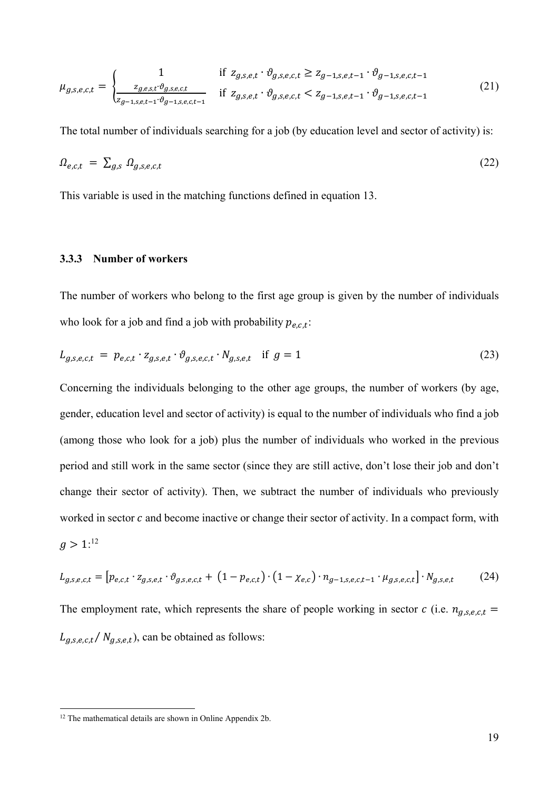$$
\mu_{g,s,e,c,t} = \begin{cases}\n1 & \text{if } z_{g,s,e,t} \cdot \vartheta_{g,s,e,c,t} \ge z_{g-1,s,e,t-1} \cdot \vartheta_{g-1,s,e,c,t-1} \\
\frac{z_{g,e,s,t} \cdot \vartheta_{g,s,e,c,t}}{z_{g-1,s,e,t-1} \cdot \vartheta_{g-1,s,e,t-1}} & \text{if } z_{g,s,e,t} \cdot \vartheta_{g,s,e,c,t} < z_{g-1,s,e,t-1} \cdot \vartheta_{g-1,s,e,c,t-1}\n\end{cases} (21)
$$

The total number of individuals searching for a job (by education level and sector of activity) is:

$$
\Omega_{e,c,t} = \sum_{g,s} \Omega_{g,s,e,c,t} \tag{22}
$$

This variable is used in the matching functions defined in equation 13.

#### **3.3.3 Number of workers**

The number of workers who belong to the first age group is given by the number of individuals who look for a job and find a job with probability  $p_{e,c,t}$ :

$$
L_{g,s,e,c,t} = p_{e,c,t} \cdot z_{g,s,e,t} \cdot \vartheta_{g,s,e,c,t} \cdot N_{g,s,e,t} \quad \text{if } g = 1 \tag{23}
$$

Concerning the individuals belonging to the other age groups, the number of workers (by age, gender, education level and sector of activity) is equal to the number of individuals who find a job (among those who look for a job) plus the number of individuals who worked in the previous period and still work in the same sector (since they are still active, don't lose their job and don't change their sector of activity). Then, we subtract the number of individuals who previously worked in sector  $c$  and become inactive or change their sector of activity. In a compact form, with  $g > 1$ :<sup>12</sup>

$$
L_{g,s,e,c,t} = [p_{e,c,t} \cdot z_{g,s,e,t} \cdot \vartheta_{g,s,e,c,t} + (1 - p_{e,c,t}) \cdot (1 - \chi_{e,c}) \cdot n_{g-1,s,e,c,t-1} \cdot \mu_{g,s,e,c,t}] \cdot N_{g,s,e,t} \tag{24}
$$

The employment rate, which represents the share of people working in sector  $c$  (i.e.  $n_{g,s,e,c,t}$  $L_{g,s,e,c,t}/N_{g,s,e,t}$ , can be obtained as follows:

<sup>&</sup>lt;sup>12</sup> The mathematical details are shown in Online Appendix 2b.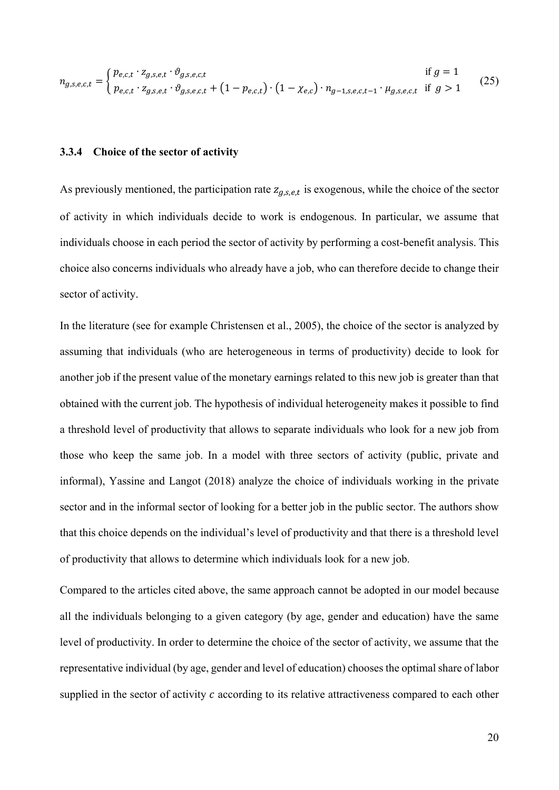$$
n_{g,s,e,c,t} = \begin{cases} p_{e,c,t} \cdot z_{g,s,e,t} \cdot \vartheta_{g,s,e,c,t} & \text{if } g = 1\\ p_{e,c,t} \cdot z_{g,s,e,t} \cdot \vartheta_{g,s,e,c,t} + (1 - p_{e,c,t}) \cdot (1 - \chi_{e,c}) \cdot n_{g-1,s,e,c,t-1} \cdot \mu_{g,s,e,c,t} & \text{if } g > 1 \end{cases}
$$
(25)

## **3.3.4 Choice of the sector of activity**

As previously mentioned, the participation rate  $z_{q,s,e,t}$  is exogenous, while the choice of the sector of activity in which individuals decide to work is endogenous. In particular, we assume that individuals choose in each period the sector of activity by performing a cost-benefit analysis. This choice also concerns individuals who already have a job, who can therefore decide to change their sector of activity.

In the literature (see for example Christensen et al., 2005), the choice of the sector is analyzed by assuming that individuals (who are heterogeneous in terms of productivity) decide to look for another job if the present value of the monetary earnings related to this new job is greater than that obtained with the current job. The hypothesis of individual heterogeneity makes it possible to find a threshold level of productivity that allows to separate individuals who look for a new job from those who keep the same job. In a model with three sectors of activity (public, private and informal), Yassine and Langot (2018) analyze the choice of individuals working in the private sector and in the informal sector of looking for a better job in the public sector. The authors show that this choice depends on the individual's level of productivity and that there is a threshold level of productivity that allows to determine which individuals look for a new job.

Compared to the articles cited above, the same approach cannot be adopted in our model because all the individuals belonging to a given category (by age, gender and education) have the same level of productivity. In order to determine the choice of the sector of activity, we assume that the representative individual (by age, gender and level of education) chooses the optimal share of labor supplied in the sector of activity  $c$  according to its relative attractiveness compared to each other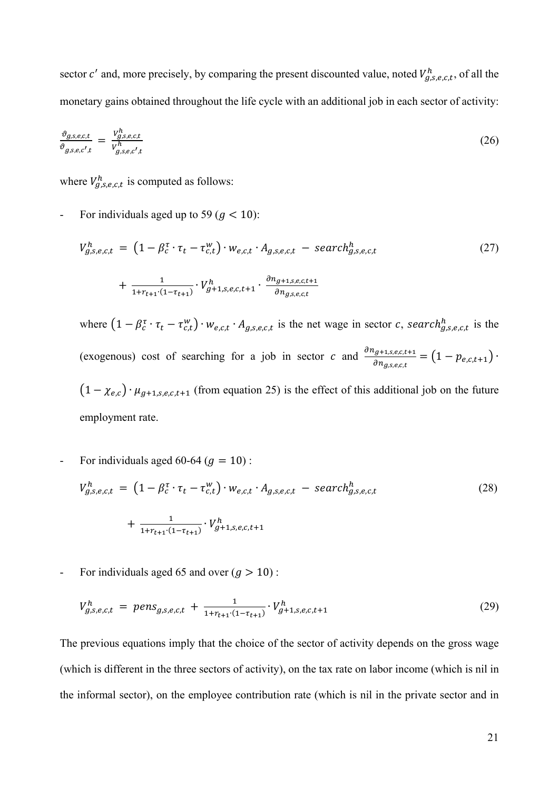sector c' and, more precisely, by comparing the present discounted value, noted  $V_{g,s,e,c,t}^h$ , of all the monetary gains obtained throughout the life cycle with an additional job in each sector of activity:

$$
\frac{\vartheta_{g,s,e,c,t}}{\vartheta_{g,s,e,c',t}} = \frac{v_{g,s,e,c,t}^h}{v_{g,s,e,c',t}^h} \tag{26}
$$

where  $V_{g,s,e,c,t}^{h}$  is computed as follows:

For individuals aged up to 59 ( $g < 10$ ):

$$
V_{g,s,e,c,t}^{h} = \left(1 - \beta_c^{\tau} \cdot \tau_t - \tau_{c,t}^{w}\right) \cdot w_{e,c,t} \cdot A_{g,s,e,c,t} - search_{g,s,e,c,t}^{h}
$$
  
+ 
$$
\frac{1}{1 + r_{t+1} \cdot (1 - \tau_{t+1})} \cdot V_{g+1,s,e,c,t+1}^{h} \cdot \frac{\partial n_{g+1,s,e,c,t+1}}{\partial n_{g,s,e,c,t}}
$$
(27)

where  $(1 - \beta_c^{\tau} \cdot \tau_t - \tau_{c,t}^w) \cdot w_{e,c,t} \cdot A_{g,s,e,c,t}$  is the net wage in sector c, search $_{g,s,e,c,t}^h$  is the (exogenous) cost of searching for a job in sector c and  $\frac{\partial n_{g+1,s,e,c,t+1}}{\partial n_{g,s,e,c,t}} = (1 - p_{e,c,t+1})$ .  $(1 - \chi_{e,c}) \cdot \mu_{g+1,s,e,c,t+1}$  (from equation 25) is the effect of this additional job on the future employment rate.

For individuals aged 60-64 ( $g = 10$ ):

$$
V_{g,s,e,c,t}^{h} = \left(1 - \beta_c^{\tau} \cdot \tau_t - \tau_{c,t}^{w}\right) \cdot w_{e,c,t} \cdot A_{g,s,e,c,t} - search_{g,s,e,c,t}^{h}
$$
  
+ 
$$
\frac{1}{1 + r_{t+1} \cdot (1 - \tau_{t+1})} \cdot V_{g+1,s,e,c,t+1}^{h}
$$
 (28)

For individuals aged 65 and over  $(g > 10)$ :

$$
V_{g,s,e,c,t}^h = \text{pens}_{g,s,e,c,t} + \frac{1}{1 + r_{t+1} \cdot (1 - \tau_{t+1})} \cdot V_{g+1,s,e,c,t+1}^h \tag{29}
$$

The previous equations imply that the choice of the sector of activity depends on the gross wage (which is different in the three sectors of activity), on the tax rate on labor income (which is nil in the informal sector), on the employee contribution rate (which is nil in the private sector and in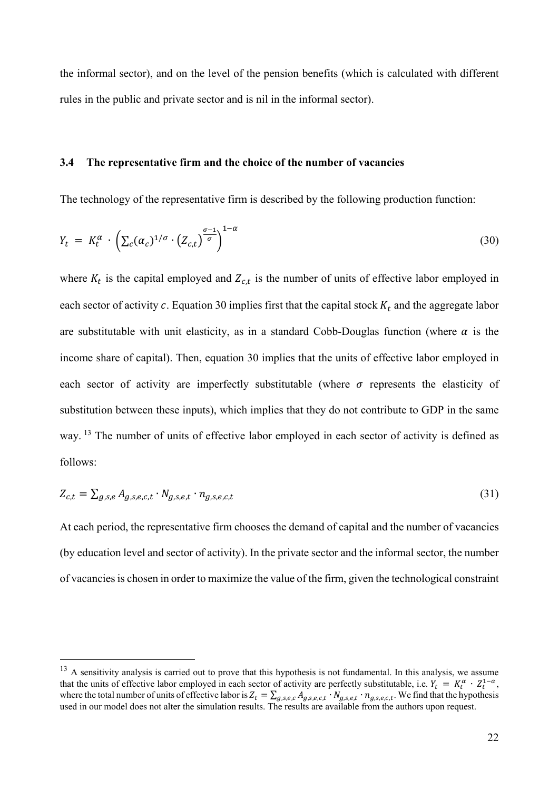the informal sector), and on the level of the pension benefits (which is calculated with different rules in the public and private sector and is nil in the informal sector).

# **3.4 The representative firm and the choice of the number of vacancies**

The technology of the representative firm is described by the following production function:

$$
Y_t = K_t^{\alpha} \cdot \left( \sum_c (\alpha_c)^{1/\sigma} \cdot (Z_{c,t})^{\frac{\sigma - 1}{\sigma}} \right)^{1-\alpha} \tag{30}
$$

where  $K_t$  is the capital employed and  $Z_{c,t}$  is the number of units of effective labor employed in each sector of activity c. Equation 30 implies first that the capital stock  $K_t$  and the aggregate labor are substitutable with unit elasticity, as in a standard Cobb-Douglas function (where  $\alpha$  is the income share of capital). Then, equation 30 implies that the units of effective labor employed in each sector of activity are imperfectly substitutable (where  $\sigma$  represents the elasticity of substitution between these inputs), which implies that they do not contribute to GDP in the same way. 13 The number of units of effective labor employed in each sector of activity is defined as follows:

$$
Z_{c,t} = \sum_{g,s,e} A_{g,s,e,c,t} \cdot N_{g,s,e,t} \cdot n_{g,s,e,c,t} \tag{31}
$$

At each period, the representative firm chooses the demand of capital and the number of vacancies (by education level and sector of activity). In the private sector and the informal sector, the number of vacancies is chosen in order to maximize the value of the firm, given the technological constraint

 $13$  A sensitivity analysis is carried out to prove that this hypothesis is not fundamental. In this analysis, we assume that the units of effective labor employed in each sector of activity are perfectly substitutable, i.e.  $Y_t = K_t^{\alpha} \cdot Z_t^{1-\alpha}$ , where the total number of units of effective labor is  $Z_t = \sum_{g,s,e,c} A_{g,s,e,c,t} \cdot N_{g,s,e,t} \cdot n_{g,s,e,c,t}$ . We find that the hypothesis used in our model does not alter the simulation results. The results are available from the authors upon request.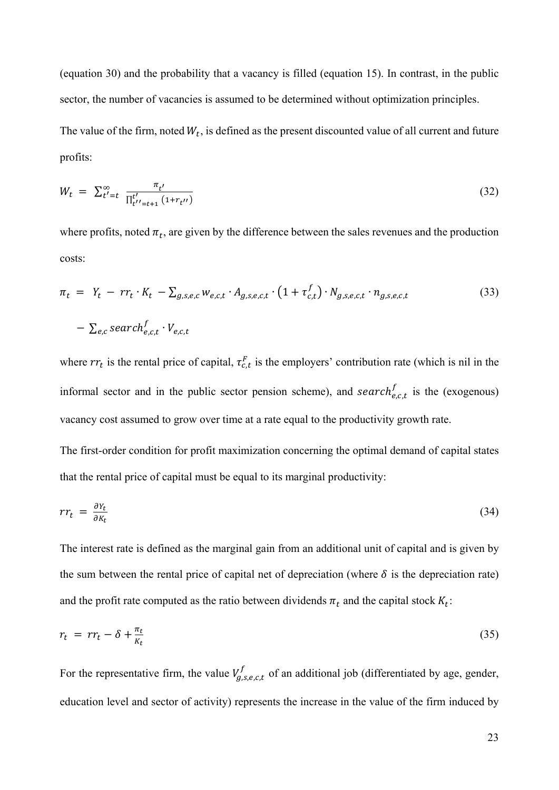(equation 30) and the probability that a vacancy is filled (equation 15). In contrast, in the public sector, the number of vacancies is assumed to be determined without optimization principles.

The value of the firm, noted  $W_t$ , is defined as the present discounted value of all current and future profits:

$$
W_t = \sum_{t'=t}^{\infty} \frac{\pi_{t'}}{\prod_{t'=t+1}^{t'} (1 + r_{t''})}
$$
(32)

where profits, noted  $\pi_t$ , are given by the difference between the sales revenues and the production costs:

$$
\pi_t = Y_t - r r_t \cdot K_t - \sum_{g,s,e,c} w_{e,c,t} \cdot A_{g,s,e,c,t} \cdot (1 + \tau_{c,t}^f) \cdot N_{g,s,e,c,t} \cdot n_{g,s,e,c,t}
$$
\n
$$
- \sum_{e,c} search_{e,c,t}^f \cdot V_{e,c,t}
$$
\n(33)

where  $rr_t$  is the rental price of capital,  $\tau_{c,t}^F$  is the employers' contribution rate (which is nil in the informal sector and in the public sector pension scheme), and search $_{e,c,t}^f$  is the (exogenous) vacancy cost assumed to grow over time at a rate equal to the productivity growth rate.

The first-order condition for profit maximization concerning the optimal demand of capital states that the rental price of capital must be equal to its marginal productivity:

$$
rr_t = \frac{\partial Y_t}{\partial K_t} \tag{34}
$$

The interest rate is defined as the marginal gain from an additional unit of capital and is given by the sum between the rental price of capital net of depreciation (where  $\delta$  is the depreciation rate) and the profit rate computed as the ratio between dividends  $\pi_t$  and the capital stock  $K_t$ :

$$
r_t = rr_t - \delta + \frac{\pi_t}{K_t} \tag{35}
$$

For the representative firm, the value  $V_{g,s,e,c,t}^f$  of an additional job (differentiated by age, gender, education level and sector of activity) represents the increase in the value of the firm induced by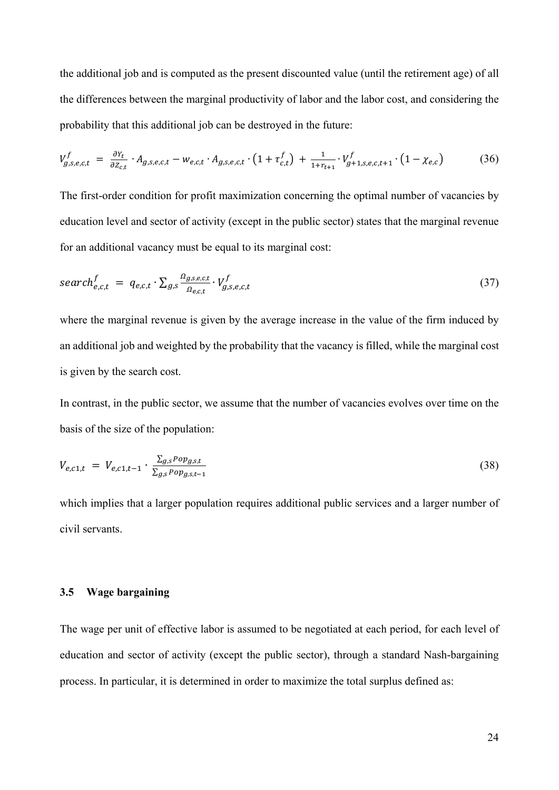the additional job and is computed as the present discounted value (until the retirement age) of all the differences between the marginal productivity of labor and the labor cost, and considering the probability that this additional job can be destroyed in the future:

$$
V_{g,s,e,c,t}^{f} = \frac{\partial Y_t}{\partial Z_{c,t}} \cdot A_{g,s,e,c,t} - w_{e,c,t} \cdot A_{g,s,e,c,t} \cdot (1 + \tau_{c,t}^f) + \frac{1}{1 + r_{t+1}} \cdot V_{g+1,s,e,c,t+1}^f \cdot (1 - \chi_{e,c})
$$
(36)

The first-order condition for profit maximization concerning the optimal number of vacancies by education level and sector of activity (except in the public sector) states that the marginal revenue for an additional vacancy must be equal to its marginal cost:

$$
search_{e,c,t}^{f} = q_{e,c,t} \cdot \sum_{g,s} \frac{\Omega_{g,s,e,c,t}}{\Omega_{e,c,t}} \cdot V_{g,s,e,c,t}^{f}
$$
\n
$$
(37)
$$

where the marginal revenue is given by the average increase in the value of the firm induced by an additional job and weighted by the probability that the vacancy is filled, while the marginal cost is given by the search cost.

In contrast, in the public sector, we assume that the number of vacancies evolves over time on the basis of the size of the population:

$$
V_{e,c1,t} = V_{e,c1,t-1} \cdot \frac{\sum_{g,s} Pop_{g,s,t}}{\sum_{g,s} Pop_{g,s,t-1}}
$$
(38)

which implies that a larger population requires additional public services and a larger number of civil servants.

# **3.5 Wage bargaining**

The wage per unit of effective labor is assumed to be negotiated at each period, for each level of education and sector of activity (except the public sector), through a standard Nash-bargaining process. In particular, it is determined in order to maximize the total surplus defined as: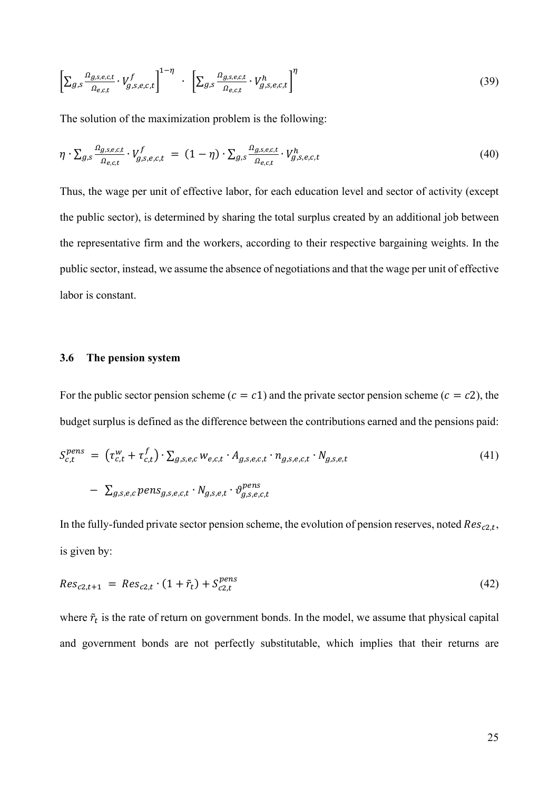$$
\left[\sum_{g,s}\frac{\Omega_{g,s,e,c,t}}{\Omega_{e,c,t}}\cdot V_{g,s,e,c,t}^f\right]^{1-\eta} \cdot \left[\sum_{g,s}\frac{\Omega_{g,s,e,c,t}}{\Omega_{e,c,t}}\cdot V_{g,s,e,c,t}^h\right]^{\eta} \tag{39}
$$

The solution of the maximization problem is the following:

$$
\eta \cdot \sum_{g,s} \frac{\Omega_{g,s,e,c,t}}{\Omega_{e,c,t}} \cdot V_{g,s,e,c,t}^f = (1 - \eta) \cdot \sum_{g,s} \frac{\Omega_{g,s,e,c,t}}{\Omega_{e,c,t}} \cdot V_{g,s,e,c,t}^h \tag{40}
$$

Thus, the wage per unit of effective labor, for each education level and sector of activity (except the public sector), is determined by sharing the total surplus created by an additional job between the representative firm and the workers, according to their respective bargaining weights. In the public sector, instead, we assume the absence of negotiations and that the wage per unit of effective labor is constant.

## **3.6 The pension system**

For the public sector pension scheme ( $c = c1$ ) and the private sector pension scheme ( $c = c2$ ), the budget surplus is defined as the difference between the contributions earned and the pensions paid:

$$
S_{c,t}^{pens} = (\tau_{c,t}^w + \tau_{c,t}^f) \cdot \sum_{g,s,e,c} w_{e,c,t} \cdot A_{g,s,e,c,t} \cdot n_{g,s,e,c,t} \cdot N_{g,s,e,t}
$$
  
- 
$$
\sum_{g,s,e,c} pens_{g,s,e,c,t} \cdot N_{g,s,e,t} \cdot \vartheta_{g,s,e,c,t}^{pens}
$$
 (41)

In the fully-funded private sector pension scheme, the evolution of pension reserves, noted  $Res_{c2,t}$ , is given by:

$$
Res_{c2,t+1} = Res_{c2,t} \cdot (1 + \tilde{r}_t) + S_{c2,t}^{pens}
$$
\n(42)

where  $\tilde{r}_t$  is the rate of return on government bonds. In the model, we assume that physical capital and government bonds are not perfectly substitutable, which implies that their returns are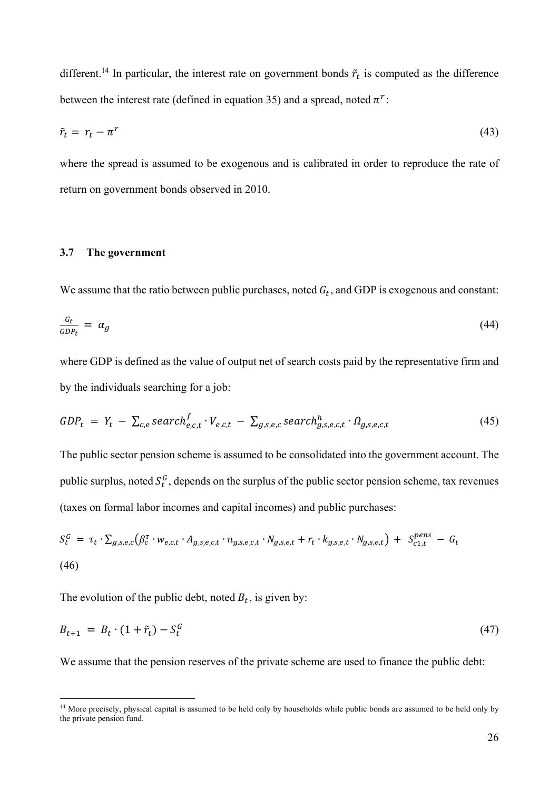different.<sup>14</sup> In particular, the interest rate on government bonds  $\tilde{r}_t$  is computed as the difference between the interest rate (defined in equation 35) and a spread, noted  $\pi^r$ :

$$
\tilde{r}_t = r_t - \pi^r \tag{43}
$$

where the spread is assumed to be exogenous and is calibrated in order to reproduce the rate of return on government bonds observed in 2010.

## **3.7 The government**

1

We assume that the ratio between public purchases, noted  $G_t$ , and GDP is exogenous and constant:

$$
\frac{G_t}{GDP_t} = \alpha_g \tag{44}
$$

where GDP is defined as the value of output net of search costs paid by the representative firm and by the individuals searching for a job:

$$
GDP_t = Y_t - \sum_{c,e} search_{e,c,t}^f \cdot V_{e,c,t} - \sum_{g,s,e,c} search_{g,s,e,c,t}^h \cdot \Omega_{g,s,e,c,t}
$$
(45)

The public sector pension scheme is assumed to be consolidated into the government account. The public surplus, noted  $S_t^G$ , depends on the surplus of the public sector pension scheme, tax revenues (taxes on formal labor incomes and capital incomes) and public purchases:

$$
S_t^G = \tau_t \cdot \sum_{g,s,e,c} (\beta_c^{\tau} \cdot w_{e,c,t} \cdot A_{g,s,e,c,t} \cdot n_{g,s,e,c,t} \cdot N_{g,s,e,t} + r_t \cdot k_{g,s,e,t} \cdot N_{g,s,e,t}) + S_{c1,t}^{pens} - G_t
$$
\n(46)

The evolution of the public debt, noted  $B_t$ , is given by:

$$
B_{t+1} = B_t \cdot (1 + \tilde{r}_t) - S_t^G \tag{47}
$$

We assume that the pension reserves of the private scheme are used to finance the public debt:

<sup>&</sup>lt;sup>14</sup> More precisely, physical capital is assumed to be held only by households while public bonds are assumed to be held only by the private pension fund.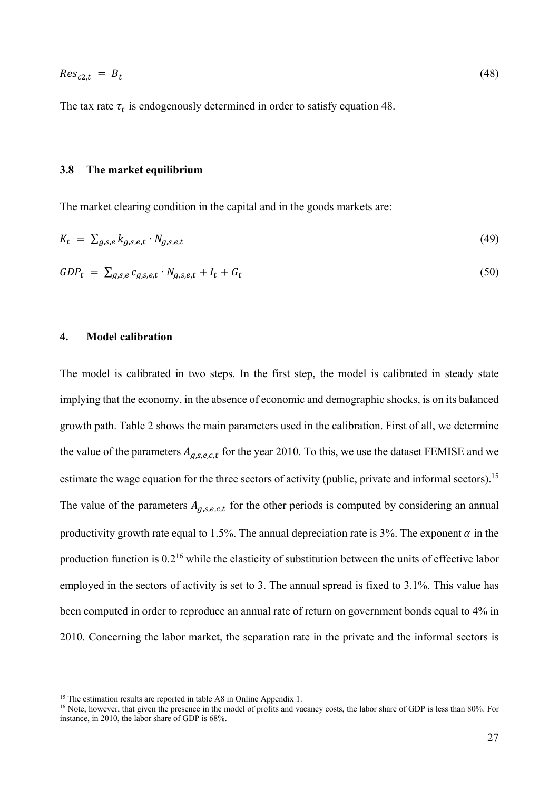The tax rate  $\tau_t$  is endogenously determined in order to satisfy equation 48.

## **3.8 The market equilibrium**

The market clearing condition in the capital and in the goods markets are:

$$
K_t = \sum_{g,s,e} k_{g,s,e,t} \cdot N_{g,s,e,t} \tag{49}
$$

$$
GDP_t = \sum_{g,s,e} c_{g,s,e,t} \cdot N_{g,s,e,t} + I_t + G_t \tag{50}
$$

#### **4. Model calibration**

The model is calibrated in two steps. In the first step, the model is calibrated in steady state implying that the economy, in the absence of economic and demographic shocks, is on its balanced growth path. Table 2 shows the main parameters used in the calibration. First of all, we determine the value of the parameters  $A_{q,s,e,c,t}$  for the year 2010. To this, we use the dataset FEMISE and we estimate the wage equation for the three sectors of activity (public, private and informal sectors).<sup>15</sup> The value of the parameters  $A_{g,s,e,c,t}$  for the other periods is computed by considering an annual productivity growth rate equal to 1.5%. The annual depreciation rate is 3%. The exponent  $\alpha$  in the production function is  $0.2^{16}$  while the elasticity of substitution between the units of effective labor employed in the sectors of activity is set to 3. The annual spread is fixed to 3.1%. This value has been computed in order to reproduce an annual rate of return on government bonds equal to 4% in 2010. Concerning the labor market, the separation rate in the private and the informal sectors is

<sup>&</sup>lt;sup>15</sup> The estimation results are reported in table A8 in Online Appendix 1.

<sup>&</sup>lt;sup>16</sup> Note, however, that given the presence in the model of profits and vacancy costs, the labor share of GDP is less than 80%. For instance, in 2010, the labor share of GDP is 68%.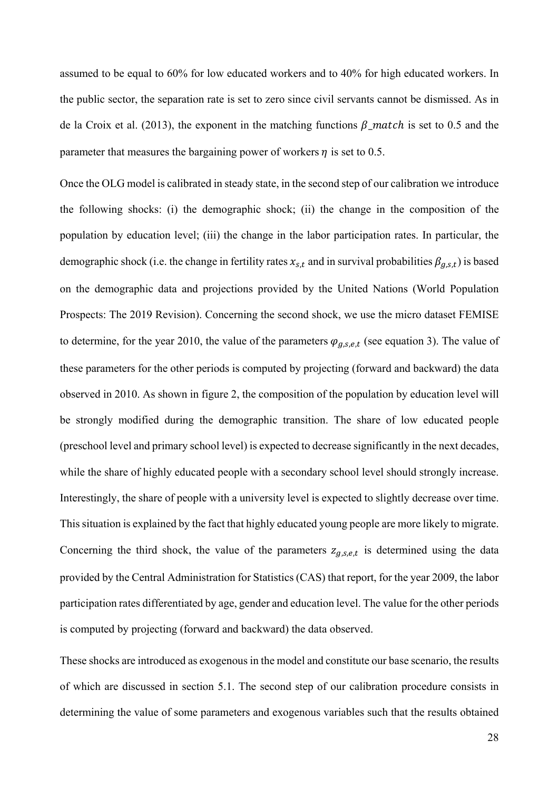assumed to be equal to 60% for low educated workers and to 40% for high educated workers. In the public sector, the separation rate is set to zero since civil servants cannot be dismissed. As in de la Croix et al. (2013), the exponent in the matching functions  $\beta$  match is set to 0.5 and the parameter that measures the bargaining power of workers  $\eta$  is set to 0.5.

Once the OLG model is calibrated in steady state, in the second step of our calibration we introduce the following shocks: (i) the demographic shock; (ii) the change in the composition of the population by education level; (iii) the change in the labor participation rates. In particular, the demographic shock (i.e. the change in fertility rates  $x_{s,t}$  and in survival probabilities  $\beta_{q,s,t}$ ) is based on the demographic data and projections provided by the United Nations (World Population Prospects: The 2019 Revision). Concerning the second shock, we use the micro dataset FEMISE to determine, for the year 2010, the value of the parameters  $\varphi_{g,s,e,t}$  (see equation 3). The value of these parameters for the other periods is computed by projecting (forward and backward) the data observed in 2010. As shown in figure 2, the composition of the population by education level will be strongly modified during the demographic transition. The share of low educated people (preschool level and primary school level) is expected to decrease significantly in the next decades, while the share of highly educated people with a secondary school level should strongly increase. Interestingly, the share of people with a university level is expected to slightly decrease over time. This situation is explained by the fact that highly educated young people are more likely to migrate. Concerning the third shock, the value of the parameters  $z_{q,s,e,t}$  is determined using the data provided by the Central Administration for Statistics (CAS) that report, for the year 2009, the labor participation rates differentiated by age, gender and education level. The value for the other periods is computed by projecting (forward and backward) the data observed.

These shocks are introduced as exogenous in the model and constitute our base scenario, the results of which are discussed in section 5.1. The second step of our calibration procedure consists in determining the value of some parameters and exogenous variables such that the results obtained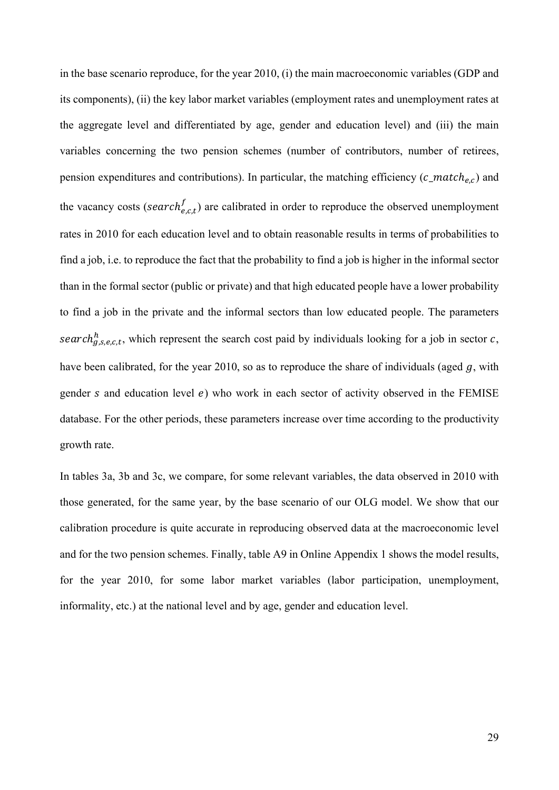in the base scenario reproduce, for the year 2010, (i) the main macroeconomic variables (GDP and its components), (ii) the key labor market variables (employment rates and unemployment rates at the aggregate level and differentiated by age, gender and education level) and (iii) the main variables concerning the two pension schemes (number of contributors, number of retirees, pension expenditures and contributions). In particular, the matching efficiency ( $c$ <sub>-</sub>match<sub>e,c</sub>) and the vacancy costs (search $t_{e,c,t}$ ) are calibrated in order to reproduce the observed unemployment rates in 2010 for each education level and to obtain reasonable results in terms of probabilities to find a job, i.e. to reproduce the fact that the probability to find a job is higher in the informal sector than in the formal sector (public or private) and that high educated people have a lower probability to find a job in the private and the informal sectors than low educated people. The parameters search<sup>h</sup><sub>g,s,e,c,t</sub>, which represent the search cost paid by individuals looking for a job in sector c, have been calibrated, for the year 2010, so as to reproduce the share of individuals (aged  $g$ , with gender s and education level  $e$ ) who work in each sector of activity observed in the FEMISE database. For the other periods, these parameters increase over time according to the productivity growth rate.

In tables 3a, 3b and 3c, we compare, for some relevant variables, the data observed in 2010 with those generated, for the same year, by the base scenario of our OLG model. We show that our calibration procedure is quite accurate in reproducing observed data at the macroeconomic level and for the two pension schemes. Finally, table A9 in Online Appendix 1 shows the model results, for the year 2010, for some labor market variables (labor participation, unemployment, informality, etc.) at the national level and by age, gender and education level.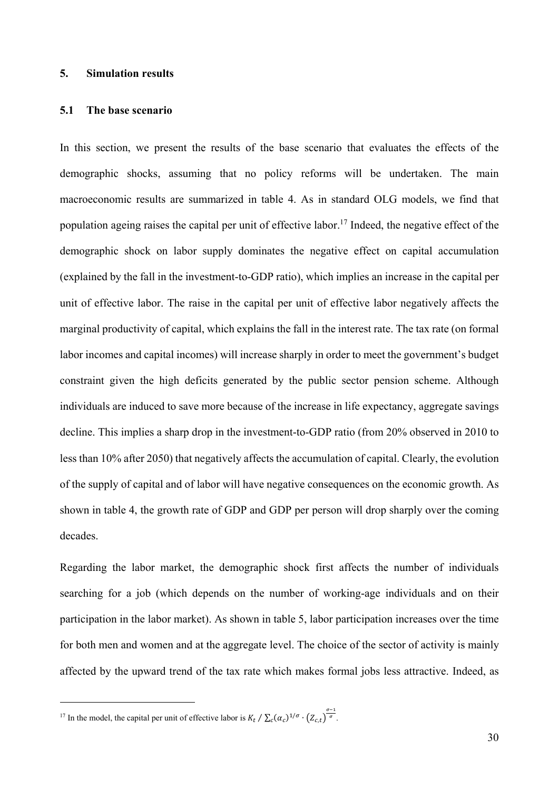# **5. Simulation results**

# **5.1 The base scenario**

In this section, we present the results of the base scenario that evaluates the effects of the demographic shocks, assuming that no policy reforms will be undertaken. The main macroeconomic results are summarized in table 4. As in standard OLG models, we find that population ageing raises the capital per unit of effective labor.<sup>17</sup> Indeed, the negative effect of the demographic shock on labor supply dominates the negative effect on capital accumulation (explained by the fall in the investment-to-GDP ratio), which implies an increase in the capital per unit of effective labor. The raise in the capital per unit of effective labor negatively affects the marginal productivity of capital, which explains the fall in the interest rate. The tax rate (on formal labor incomes and capital incomes) will increase sharply in order to meet the government's budget constraint given the high deficits generated by the public sector pension scheme. Although individuals are induced to save more because of the increase in life expectancy, aggregate savings decline. This implies a sharp drop in the investment-to-GDP ratio (from 20% observed in 2010 to less than 10% after 2050) that negatively affects the accumulation of capital. Clearly, the evolution of the supply of capital and of labor will have negative consequences on the economic growth. As shown in table 4, the growth rate of GDP and GDP per person will drop sharply over the coming decades.

Regarding the labor market, the demographic shock first affects the number of individuals searching for a job (which depends on the number of working-age individuals and on their participation in the labor market). As shown in table 5, labor participation increases over the time for both men and women and at the aggregate level. The choice of the sector of activity is mainly affected by the upward trend of the tax rate which makes formal jobs less attractive. Indeed, as

<u>.</u>

<sup>&</sup>lt;sup>17</sup> In the model, the capital per unit of effective labor is  $K_t / \sum_c (\alpha_c)^{1/\sigma} \cdot (Z_{c,t})^{\frac{\sigma-1}{\sigma}}$ .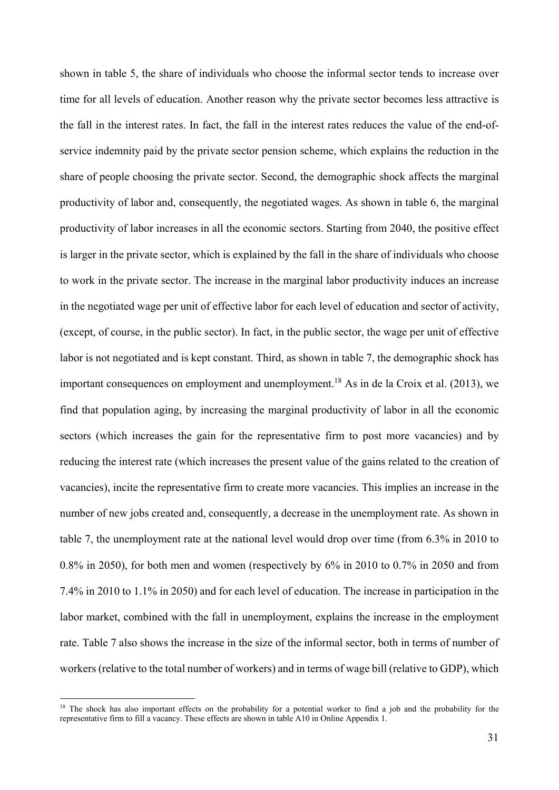shown in table 5, the share of individuals who choose the informal sector tends to increase over time for all levels of education. Another reason why the private sector becomes less attractive is the fall in the interest rates. In fact, the fall in the interest rates reduces the value of the end-ofservice indemnity paid by the private sector pension scheme, which explains the reduction in the share of people choosing the private sector. Second, the demographic shock affects the marginal productivity of labor and, consequently, the negotiated wages. As shown in table 6, the marginal productivity of labor increases in all the economic sectors. Starting from 2040, the positive effect is larger in the private sector, which is explained by the fall in the share of individuals who choose to work in the private sector. The increase in the marginal labor productivity induces an increase in the negotiated wage per unit of effective labor for each level of education and sector of activity, (except, of course, in the public sector). In fact, in the public sector, the wage per unit of effective labor is not negotiated and is kept constant. Third, as shown in table 7, the demographic shock has important consequences on employment and unemployment.<sup>18</sup> As in de la Croix et al. (2013), we find that population aging, by increasing the marginal productivity of labor in all the economic sectors (which increases the gain for the representative firm to post more vacancies) and by reducing the interest rate (which increases the present value of the gains related to the creation of vacancies), incite the representative firm to create more vacancies. This implies an increase in the number of new jobs created and, consequently, a decrease in the unemployment rate. As shown in table 7, the unemployment rate at the national level would drop over time (from 6.3% in 2010 to 0.8% in 2050), for both men and women (respectively by 6% in 2010 to 0.7% in 2050 and from 7.4% in 2010 to 1.1% in 2050) and for each level of education. The increase in participation in the labor market, combined with the fall in unemployment, explains the increase in the employment rate. Table 7 also shows the increase in the size of the informal sector, both in terms of number of workers (relative to the total number of workers) and in terms of wage bill (relative to GDP), which

<sup>&</sup>lt;sup>18</sup> The shock has also important effects on the probability for a potential worker to find a job and the probability for the representative firm to fill a vacancy. These effects are shown in table A10 in Online Appendix 1.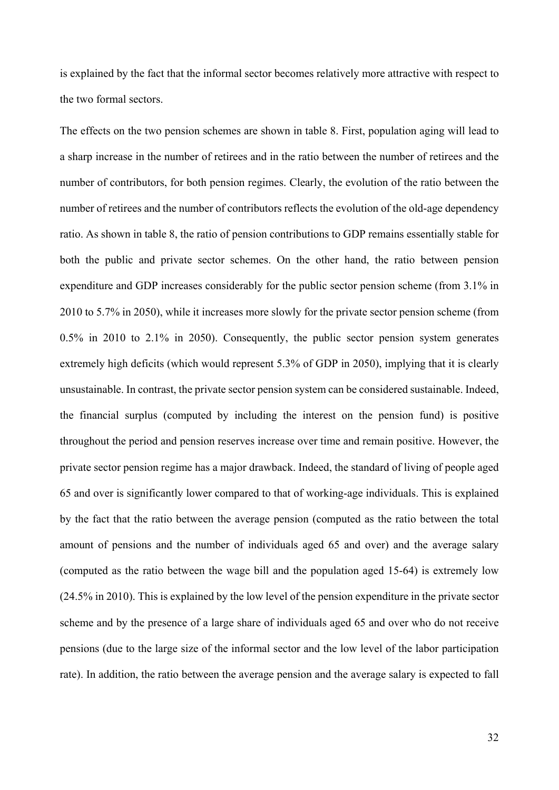is explained by the fact that the informal sector becomes relatively more attractive with respect to the two formal sectors.

The effects on the two pension schemes are shown in table 8. First, population aging will lead to a sharp increase in the number of retirees and in the ratio between the number of retirees and the number of contributors, for both pension regimes. Clearly, the evolution of the ratio between the number of retirees and the number of contributors reflects the evolution of the old-age dependency ratio. As shown in table 8, the ratio of pension contributions to GDP remains essentially stable for both the public and private sector schemes. On the other hand, the ratio between pension expenditure and GDP increases considerably for the public sector pension scheme (from 3.1% in 2010 to 5.7% in 2050), while it increases more slowly for the private sector pension scheme (from 0.5% in 2010 to 2.1% in 2050). Consequently, the public sector pension system generates extremely high deficits (which would represent 5.3% of GDP in 2050), implying that it is clearly unsustainable. In contrast, the private sector pension system can be considered sustainable. Indeed, the financial surplus (computed by including the interest on the pension fund) is positive throughout the period and pension reserves increase over time and remain positive. However, the private sector pension regime has a major drawback. Indeed, the standard of living of people aged 65 and over is significantly lower compared to that of working-age individuals. This is explained by the fact that the ratio between the average pension (computed as the ratio between the total amount of pensions and the number of individuals aged 65 and over) and the average salary (computed as the ratio between the wage bill and the population aged 15-64) is extremely low (24.5% in 2010). This is explained by the low level of the pension expenditure in the private sector scheme and by the presence of a large share of individuals aged 65 and over who do not receive pensions (due to the large size of the informal sector and the low level of the labor participation rate). In addition, the ratio between the average pension and the average salary is expected to fall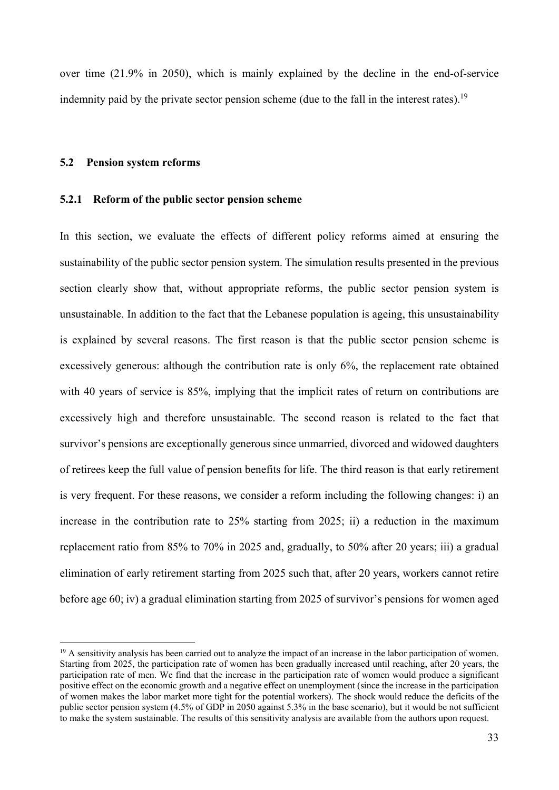over time (21.9% in 2050), which is mainly explained by the decline in the end-of-service indemnity paid by the private sector pension scheme (due to the fall in the interest rates).<sup>19</sup>

#### **5.2 Pension system reforms**

1

### **5.2.1 Reform of the public sector pension scheme**

In this section, we evaluate the effects of different policy reforms aimed at ensuring the sustainability of the public sector pension system. The simulation results presented in the previous section clearly show that, without appropriate reforms, the public sector pension system is unsustainable. In addition to the fact that the Lebanese population is ageing, this unsustainability is explained by several reasons. The first reason is that the public sector pension scheme is excessively generous: although the contribution rate is only 6%, the replacement rate obtained with 40 years of service is 85%, implying that the implicit rates of return on contributions are excessively high and therefore unsustainable. The second reason is related to the fact that survivor's pensions are exceptionally generous since unmarried, divorced and widowed daughters of retirees keep the full value of pension benefits for life. The third reason is that early retirement is very frequent. For these reasons, we consider a reform including the following changes: i) an increase in the contribution rate to 25% starting from 2025; ii) a reduction in the maximum replacement ratio from 85% to 70% in 2025 and, gradually, to 50% after 20 years; iii) a gradual elimination of early retirement starting from 2025 such that, after 20 years, workers cannot retire before age 60; iv) a gradual elimination starting from 2025 of survivor's pensions for women aged

 $19$  A sensitivity analysis has been carried out to analyze the impact of an increase in the labor participation of women. Starting from 2025, the participation rate of women has been gradually increased until reaching, after 20 years, the participation rate of men. We find that the increase in the participation rate of women would produce a significant positive effect on the economic growth and a negative effect on unemployment (since the increase in the participation of women makes the labor market more tight for the potential workers). The shock would reduce the deficits of the public sector pension system (4.5% of GDP in 2050 against 5.3% in the base scenario), but it would be not sufficient to make the system sustainable. The results of this sensitivity analysis are available from the authors upon request.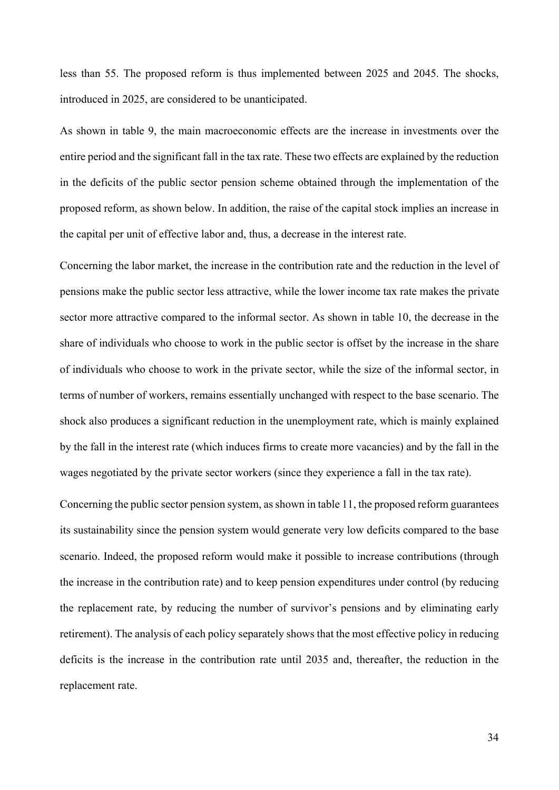less than 55. The proposed reform is thus implemented between 2025 and 2045. The shocks, introduced in 2025, are considered to be unanticipated.

As shown in table 9, the main macroeconomic effects are the increase in investments over the entire period and the significant fall in the tax rate. These two effects are explained by the reduction in the deficits of the public sector pension scheme obtained through the implementation of the proposed reform, as shown below. In addition, the raise of the capital stock implies an increase in the capital per unit of effective labor and, thus, a decrease in the interest rate.

Concerning the labor market, the increase in the contribution rate and the reduction in the level of pensions make the public sector less attractive, while the lower income tax rate makes the private sector more attractive compared to the informal sector. As shown in table 10, the decrease in the share of individuals who choose to work in the public sector is offset by the increase in the share of individuals who choose to work in the private sector, while the size of the informal sector, in terms of number of workers, remains essentially unchanged with respect to the base scenario. The shock also produces a significant reduction in the unemployment rate, which is mainly explained by the fall in the interest rate (which induces firms to create more vacancies) and by the fall in the wages negotiated by the private sector workers (since they experience a fall in the tax rate).

Concerning the public sector pension system, as shown in table 11, the proposed reform guarantees its sustainability since the pension system would generate very low deficits compared to the base scenario. Indeed, the proposed reform would make it possible to increase contributions (through the increase in the contribution rate) and to keep pension expenditures under control (by reducing the replacement rate, by reducing the number of survivor's pensions and by eliminating early retirement). The analysis of each policy separately shows that the most effective policy in reducing deficits is the increase in the contribution rate until 2035 and, thereafter, the reduction in the replacement rate.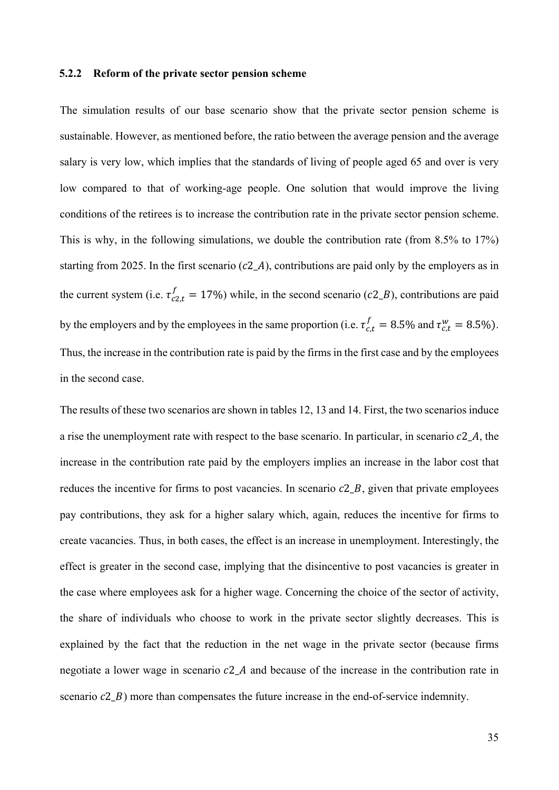## **5.2.2 Reform of the private sector pension scheme**

The simulation results of our base scenario show that the private sector pension scheme is sustainable. However, as mentioned before, the ratio between the average pension and the average salary is very low, which implies that the standards of living of people aged 65 and over is very low compared to that of working-age people. One solution that would improve the living conditions of the retirees is to increase the contribution rate in the private sector pension scheme. This is why, in the following simulations, we double the contribution rate (from 8.5% to 17%) starting from 2025. In the first scenario ( $c2A$ ), contributions are paid only by the employers as in the current system (i.e.  $\tau_{c2,t}^f = 17\%)$  while, in the second scenario (c2\_B), contributions are paid by the employers and by the employees in the same proportion (i.e.  $\tau_{c,t}^f = 8.5\%$  and  $\tau_{c,t}^w = 8.5\%$ ). Thus, the increase in the contribution rate is paid by the firms in the first case and by the employees in the second case.

The results of these two scenarios are shown in tables 12, 13 and 14. First, the two scenarios induce a rise the unemployment rate with respect to the base scenario. In particular, in scenario  $c2$  A, the increase in the contribution rate paid by the employers implies an increase in the labor cost that reduces the incentive for firms to post vacancies. In scenario  $c2_B$ , given that private employees pay contributions, they ask for a higher salary which, again, reduces the incentive for firms to create vacancies. Thus, in both cases, the effect is an increase in unemployment. Interestingly, the effect is greater in the second case, implying that the disincentive to post vacancies is greater in the case where employees ask for a higher wage. Concerning the choice of the sector of activity, the share of individuals who choose to work in the private sector slightly decreases. This is explained by the fact that the reduction in the net wage in the private sector (because firms negotiate a lower wage in scenario  $c2_A$  and because of the increase in the contribution rate in scenario  $c2_B$ ) more than compensates the future increase in the end-of-service indemnity.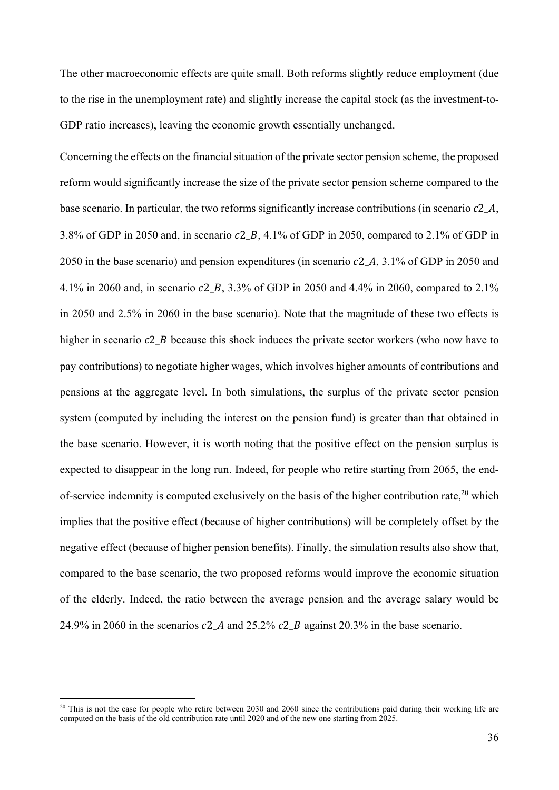The other macroeconomic effects are quite small. Both reforms slightly reduce employment (due to the rise in the unemployment rate) and slightly increase the capital stock (as the investment-to-GDP ratio increases), leaving the economic growth essentially unchanged.

Concerning the effects on the financial situation of the private sector pension scheme, the proposed reform would significantly increase the size of the private sector pension scheme compared to the base scenario. In particular, the two reforms significantly increase contributions (in scenario  $c2_A$ , 3.8% of GDP in 2050 and, in scenario  $c2_B$ , 4.1% of GDP in 2050, compared to 2.1% of GDP in 2050 in the base scenario) and pension expenditures (in scenario  $c2_A$ , 3.1% of GDP in 2050 and 4.1% in 2060 and, in scenario  $c2, B$ , 3.3% of GDP in 2050 and 4.4% in 2060, compared to 2.1% in 2050 and 2.5% in 2060 in the base scenario). Note that the magnitude of these two effects is higher in scenario  $c2$  B because this shock induces the private sector workers (who now have to pay contributions) to negotiate higher wages, which involves higher amounts of contributions and pensions at the aggregate level. In both simulations, the surplus of the private sector pension system (computed by including the interest on the pension fund) is greater than that obtained in the base scenario. However, it is worth noting that the positive effect on the pension surplus is expected to disappear in the long run. Indeed, for people who retire starting from 2065, the endof-service indemnity is computed exclusively on the basis of the higher contribution rate,  $20$  which implies that the positive effect (because of higher contributions) will be completely offset by the negative effect (because of higher pension benefits). Finally, the simulation results also show that, compared to the base scenario, the two proposed reforms would improve the economic situation of the elderly. Indeed, the ratio between the average pension and the average salary would be 24.9% in 2060 in the scenarios  $c2$  A and 25.2%  $c2$  B against 20.3% in the base scenario.

 $^{20}$  This is not the case for people who retire between 2030 and 2060 since the contributions paid during their working life are computed on the basis of the old contribution rate until 2020 and of the new one starting from 2025.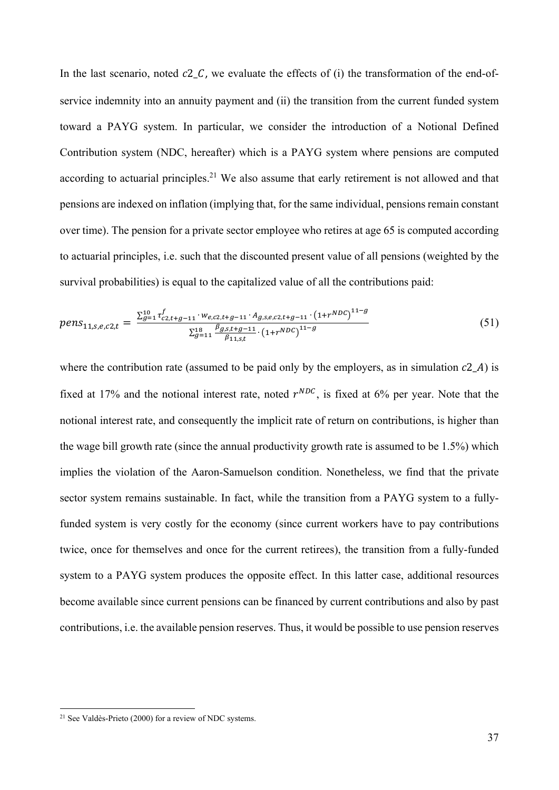In the last scenario, noted  $c2_c$ , we evaluate the effects of (i) the transformation of the end-ofservice indemnity into an annuity payment and (ii) the transition from the current funded system toward a PAYG system. In particular, we consider the introduction of a Notional Defined Contribution system (NDC, hereafter) which is a PAYG system where pensions are computed according to actuarial principles.<sup>21</sup> We also assume that early retirement is not allowed and that pensions are indexed on inflation (implying that, for the same individual, pensions remain constant over time). The pension for a private sector employee who retires at age 65 is computed according to actuarial principles, i.e. such that the discounted present value of all pensions (weighted by the survival probabilities) is equal to the capitalized value of all the contributions paid:

$$
pens_{11,s,e,c2,t} = \frac{\sum_{g=1}^{10} \tau_{c2,t+g-11}^f \cdot w_{e,c2,t+g-11} \cdot A_{g,s,e,c2,t+g-11} \cdot (1+r^{NDC})^{11-g}}{\sum_{g=11}^{18} \frac{\beta_{g,s,t+g-11}}{\beta_{11,s,t}} \cdot (1+r^{NDC})^{11-g}}
$$
(51)

where the contribution rate (assumed to be paid only by the employers, as in simulation  $c2_A$ ) is fixed at 17% and the notional interest rate, noted  $r^{NDC}$ , is fixed at 6% per year. Note that the notional interest rate, and consequently the implicit rate of return on contributions, is higher than the wage bill growth rate (since the annual productivity growth rate is assumed to be 1.5%) which implies the violation of the Aaron-Samuelson condition. Nonetheless, we find that the private sector system remains sustainable. In fact, while the transition from a PAYG system to a fullyfunded system is very costly for the economy (since current workers have to pay contributions twice, once for themselves and once for the current retirees), the transition from a fully-funded system to a PAYG system produces the opposite effect. In this latter case, additional resources become available since current pensions can be financed by current contributions and also by past contributions, i.e. the available pension reserves. Thus, it would be possible to use pension reserves

 $21$  See Valdès-Prieto (2000) for a review of NDC systems.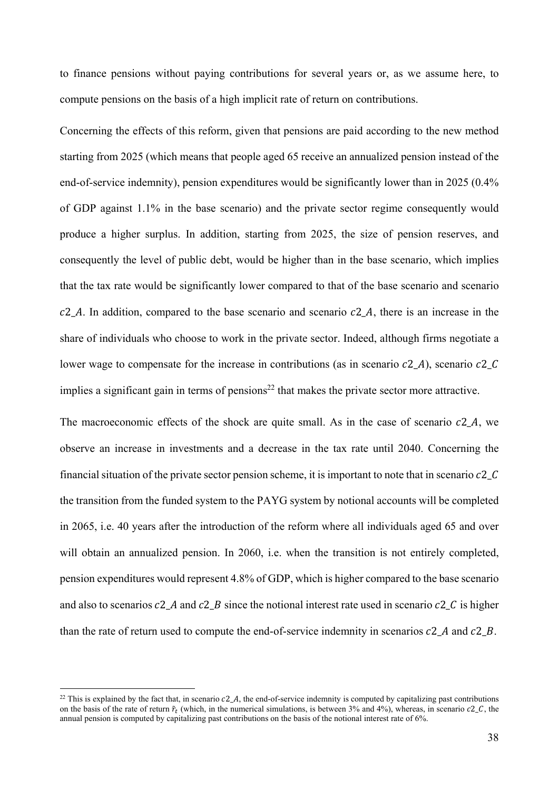to finance pensions without paying contributions for several years or, as we assume here, to compute pensions on the basis of a high implicit rate of return on contributions.

Concerning the effects of this reform, given that pensions are paid according to the new method starting from 2025 (which means that people aged 65 receive an annualized pension instead of the end-of-service indemnity), pension expenditures would be significantly lower than in 2025 (0.4% of GDP against 1.1% in the base scenario) and the private sector regime consequently would produce a higher surplus. In addition, starting from 2025, the size of pension reserves, and consequently the level of public debt, would be higher than in the base scenario, which implies that the tax rate would be significantly lower compared to that of the base scenario and scenario  $c2_A$ . In addition, compared to the base scenario and scenario  $c2_A$ , there is an increase in the share of individuals who choose to work in the private sector. Indeed, although firms negotiate a lower wage to compensate for the increase in contributions (as in scenario  $c2$  A), scenario  $c2$  C implies a significant gain in terms of pensions<sup>22</sup> that makes the private sector more attractive.

The macroeconomic effects of the shock are quite small. As in the case of scenario  $c2_A$ , we observe an increase in investments and a decrease in the tax rate until 2040. Concerning the financial situation of the private sector pension scheme, it is important to note that in scenario  $c2_c$ the transition from the funded system to the PAYG system by notional accounts will be completed in 2065, i.e. 40 years after the introduction of the reform where all individuals aged 65 and over will obtain an annualized pension. In 2060, i.e. when the transition is not entirely completed, pension expenditures would represent 4.8% of GDP, which is higher compared to the base scenario and also to scenarios  $c2_A$  and  $c2_B$  since the notional interest rate used in scenario  $c2_C$  is higher than the rate of return used to compute the end-of-service indemnity in scenarios  $c2$  A and  $c2$  B.

<sup>&</sup>lt;sup>22</sup> This is explained by the fact that, in scenario  $c2_A$ , the end-of-service indemnity is computed by capitalizing past contributions on the basis of the rate of return  $\tilde{r}_t$  (which, in the numerical simulations, is between 3% and 4%), whereas, in scenario  $c2_c$ , the annual pension is computed by capitalizing past contributions on the basis of the notional interest rate of 6%.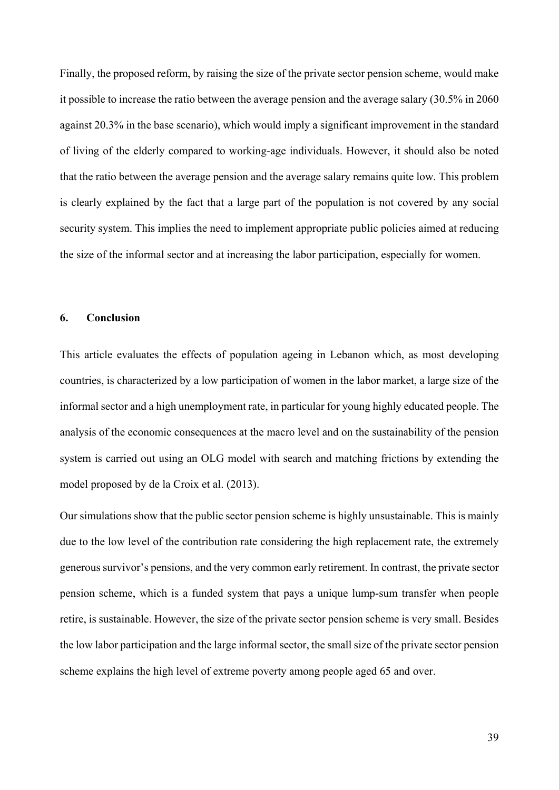Finally, the proposed reform, by raising the size of the private sector pension scheme, would make it possible to increase the ratio between the average pension and the average salary (30.5% in 2060 against 20.3% in the base scenario), which would imply a significant improvement in the standard of living of the elderly compared to working-age individuals. However, it should also be noted that the ratio between the average pension and the average salary remains quite low. This problem is clearly explained by the fact that a large part of the population is not covered by any social security system. This implies the need to implement appropriate public policies aimed at reducing the size of the informal sector and at increasing the labor participation, especially for women.

# **6. Conclusion**

This article evaluates the effects of population ageing in Lebanon which, as most developing countries, is characterized by a low participation of women in the labor market, a large size of the informal sector and a high unemployment rate, in particular for young highly educated people. The analysis of the economic consequences at the macro level and on the sustainability of the pension system is carried out using an OLG model with search and matching frictions by extending the model proposed by de la Croix et al. (2013).

Our simulations show that the public sector pension scheme is highly unsustainable. This is mainly due to the low level of the contribution rate considering the high replacement rate, the extremely generous survivor's pensions, and the very common early retirement. In contrast, the private sector pension scheme, which is a funded system that pays a unique lump-sum transfer when people retire, is sustainable. However, the size of the private sector pension scheme is very small. Besides the low labor participation and the large informal sector, the small size of the private sector pension scheme explains the high level of extreme poverty among people aged 65 and over.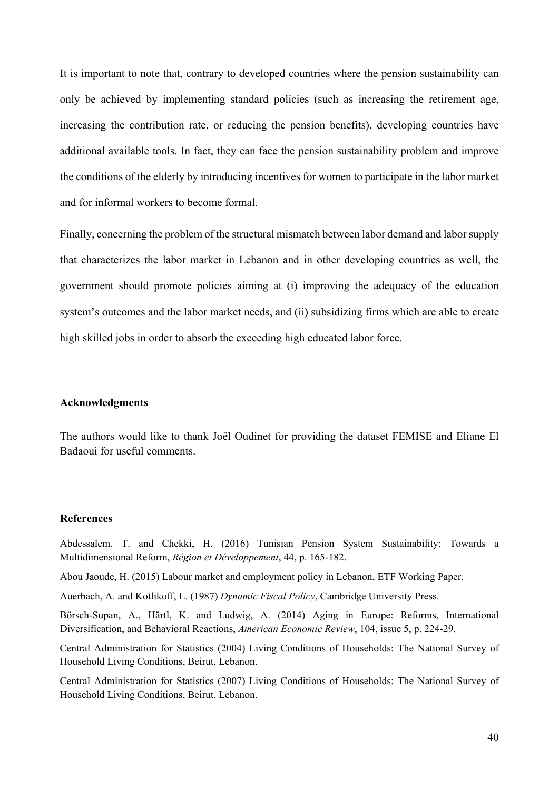It is important to note that, contrary to developed countries where the pension sustainability can only be achieved by implementing standard policies (such as increasing the retirement age, increasing the contribution rate, or reducing the pension benefits), developing countries have additional available tools. In fact, they can face the pension sustainability problem and improve the conditions of the elderly by introducing incentives for women to participate in the labor market and for informal workers to become formal.

Finally, concerning the problem of the structural mismatch between labor demand and labor supply that characterizes the labor market in Lebanon and in other developing countries as well, the government should promote policies aiming at (i) improving the adequacy of the education system's outcomes and the labor market needs, and (ii) subsidizing firms which are able to create high skilled jobs in order to absorb the exceeding high educated labor force.

#### **Acknowledgments**

The authors would like to thank Joël Oudinet for providing the dataset FEMISE and Eliane El Badaoui for useful comments.

#### **References**

Abdessalem, T. and Chekki, H. (2016) Tunisian Pension System Sustainability: Towards a Multidimensional Reform, *Région et Développement*, 44, p. 165-182.

Abou Jaoude, H. (2015) Labour market and employment policy in Lebanon, ETF Working Paper.

Auerbach, A. and Kotlikoff, L. (1987) *Dynamic Fiscal Policy*, Cambridge University Press.

Börsch-Supan, A., Härtl, K. and Ludwig, A. (2014) Aging in Europe: Reforms, International Diversification, and Behavioral Reactions, *American Economic Review*, 104, issue 5, p. 224-29.

Central Administration for Statistics (2004) Living Conditions of Households: The National Survey of Household Living Conditions, Beirut, Lebanon.

Central Administration for Statistics (2007) Living Conditions of Households: The National Survey of Household Living Conditions, Beirut, Lebanon.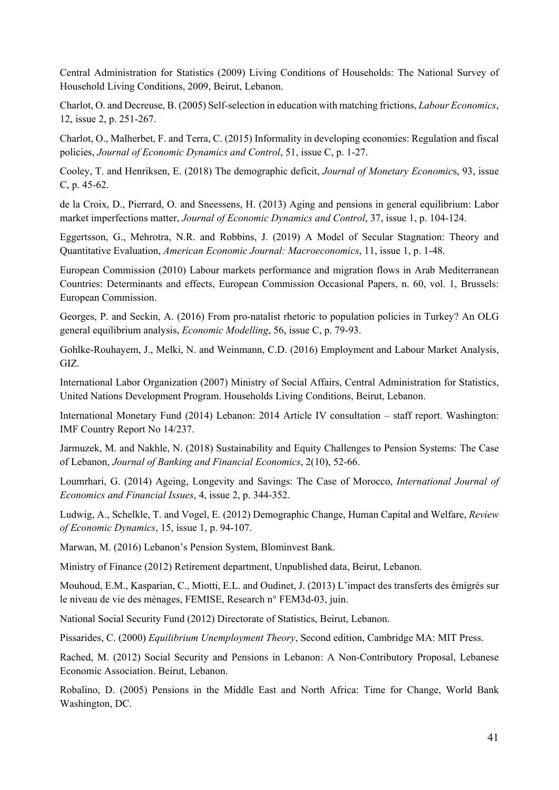Central Administration for Statistics (2009) Living Conditions of Households: The National Survey of Household Living Conditions, 2009, Beirut, Lebanon.

Charlot, O. and Decreuse, B. (2005) Self-selection in education with matching frictions, *Labour Economics*, 12, issue 2, p. 251-267.

Charlot, O., Malherbet, F. and Terra, C. (2015) Informality in developing economies: Regulation and fiscal policies, *Journal of Economic Dynamics and Control*, 51, issue C, p. 1-27.

Cooley, T. and Henriksen, E. (2018) The demographic deficit, *Journal of Monetary Economic*s, 93, issue C, p. 45-62.

de la Croix, D., Pierrard, O. and Sneessens, H. (2013) Aging and pensions in general equilibrium: Labor market imperfections matter, *Journal of Economic Dynamics and Control*, 37, issue 1, p. 104-124.

Eggertsson, G., Mehrotra, N.R. and Robbins, J. (2019) A Model of Secular Stagnation: Theory and Quantitative Evaluation, *American Economic Journal: Macroeconomics*, 11, issue 1, p. 1-48.

European Commission (2010) Labour markets performance and migration flows in Arab Mediterranean Countries: Determinants and effects, European Commission Occasional Papers, n. 60, vol. 1, Brussels: European Commission.

Georges, P. and Seckin, A. (2016) From pro-natalist rhetoric to population policies in Turkey? An OLG general equilibrium analysis, *Economic Modelling*, 56, issue C, p. 79-93.

Gohlke-Rouhayem, J., Melki, N. and Weinmann, C.D. (2016) Employment and Labour Market Analysis, GIZ.

International Labor Organization (2007) Ministry of Social Affairs, Central Administration for Statistics, United Nations Development Program. Households Living Conditions, Beirut, Lebanon.

International Monetary Fund (2014) Lebanon: 2014 Article IV consultation – staff report. Washington: IMF Country Report No 14/237.

Jarmuzek, M. and Nakhle, N. (2018) Sustainability and Equity Challenges to Pension Systems: The Case of Lebanon, *Journal of Banking and Financial Economics*, 2(10), 52-66.

Loumrhari, G. (2014) Ageing, Longevity and Savings: The Case of Morocco, *International Journal of Economics and Financial Issues*, 4, issue 2, p. 344-352.

Ludwig, A., Schelkle, T. and Vogel, E. (2012) Demographic Change, Human Capital and Welfare, *Review of Economic Dynamics*, 15, issue 1, p. 94-107.

Marwan, M. (2016) Lebanon's Pension System, Blominvest Bank.

Ministry of Finance (2012) Retirement department, Unpublished data, Beirut, Lebanon.

Mouhoud, E.M., Kasparian, C., Miotti, E.L. and Oudinet, J. (2013) L'impact des transferts des émigrés sur le niveau de vie des ménages, FEMISE, Research n° FEM3d-03, juin.

National Social Security Fund (2012) Directorate of Statistics, Beirut, Lebanon.

Pissarides, C. (2000) *Equilibrium Unemployment Theory*, Second edition, Cambridge MA: MIT Press.

Rached, M. (2012) Social Security and Pensions in Lebanon: A Non-Contributory Proposal, Lebanese Economic Association. Beirut, Lebanon.

Robalino, D. (2005) Pensions in the Middle East and North Africa: Time for Change, World Bank Washington, DC.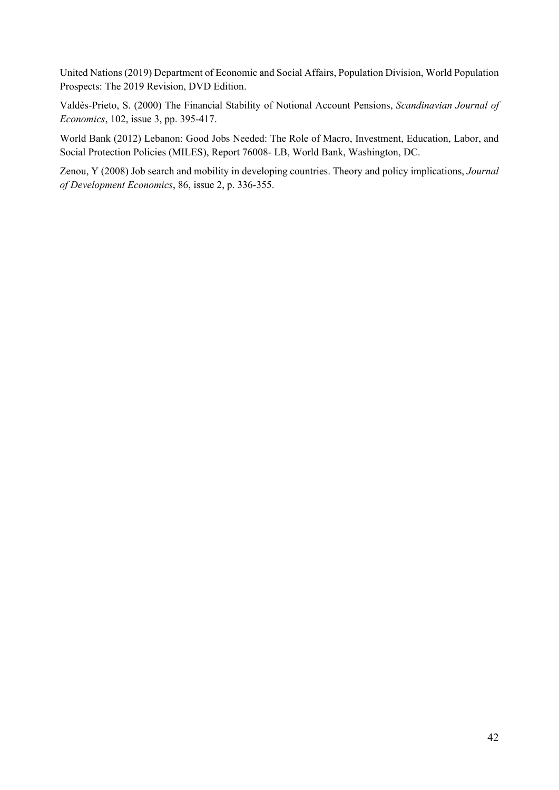United Nations (2019) Department of Economic and Social Affairs, Population Division, World Population Prospects: The 2019 Revision, DVD Edition.

Valdès-Prieto, S. (2000) The Financial Stability of Notional Account Pensions, *Scandinavian Journal of Economics*, 102, issue 3, pp. 395-417.

World Bank (2012) Lebanon: Good Jobs Needed: The Role of Macro, Investment, Education, Labor, and Social Protection Policies (MILES), Report 76008- LB, World Bank, Washington, DC.

Zenou, Y (2008) Job search and mobility in developing countries. Theory and policy implications, *Journal of Development Economics*, 86, issue 2, p. 336-355.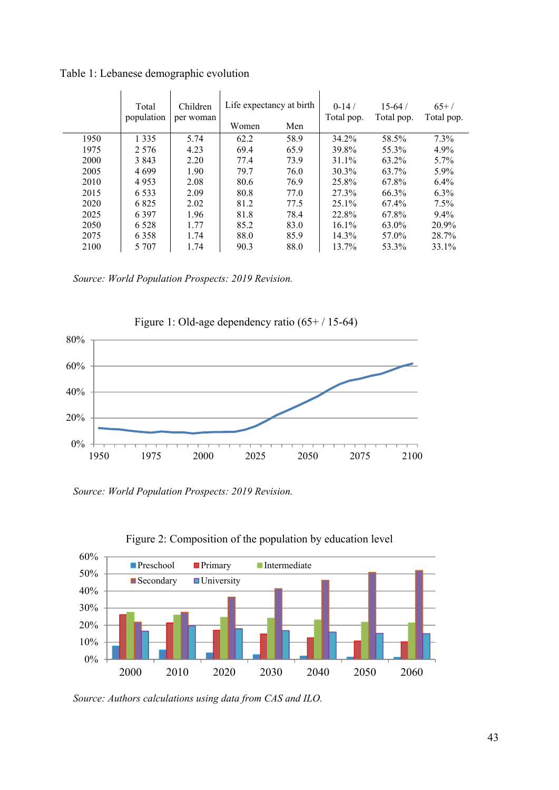|      | Total<br>population | Children<br>per woman | Life expectancy at birth<br>Women | Men  | $0-14/$<br>Total pop. | $15-64/$<br>Total pop. | $65+/-$<br>Total pop. |
|------|---------------------|-----------------------|-----------------------------------|------|-----------------------|------------------------|-----------------------|
| 1950 | 1 3 3 5             | 5.74                  | 62.2                              | 58.9 | 34.2%                 | 58.5%                  | $7.3\%$               |
| 1975 | 2.576               | 4.23                  | 69.4                              | 65.9 | 39.8%                 | 55.3%                  | $4.9\%$               |
| 2000 | 3 8 4 3             | 2.20                  | 77.4                              | 73.9 | $31.1\%$              | 63.2%                  | $5.7\%$               |
| 2005 | 4 6 9 9             | 1.90                  | 79.7                              | 76.0 | 30.3%                 | 63.7%                  | $5.9\%$               |
| 2010 | 4953                | 2.08                  | 80.6                              | 76.9 | 25.8%                 | 67.8%                  | $6.4\%$               |
| 2015 | 6 5 3 3             | 2.09                  | 80.8                              | 77.0 | 27.3%                 | 66.3%                  | $6.3\%$               |
| 2020 | 6825                | 2.02                  | 81.2                              | 77.5 | $25.1\%$              | 67.4%                  | $7.5\%$               |
| 2025 | 6 3 9 7             | 1.96                  | 81.8                              | 78.4 | 22.8%                 | 67.8%                  | $9.4\%$               |
| 2050 | 6.528               | 1.77                  | 85.2                              | 83.0 | $16.1\%$              | 63.0%                  | 20.9%                 |
| 2075 | 6 3 5 8             | 1.74                  | 88.0                              | 85.9 | 14.3%                 | 57.0%                  | 28.7%                 |
| 2100 | 5 707               | 1.74                  | 90.3                              | 88.0 | 13.7%                 | 53.3%                  | 33.1%                 |

Table 1: Lebanese demographic evolution

*Source: World Population Prospects: 2019 Revision.* 



Figure 1: Old-age dependency ratio (65+ / 15-64)

*Source: World Population Prospects: 2019 Revision.* 



Figure 2: Composition of the population by education level

*Source: Authors calculations using data from CAS and ILO.*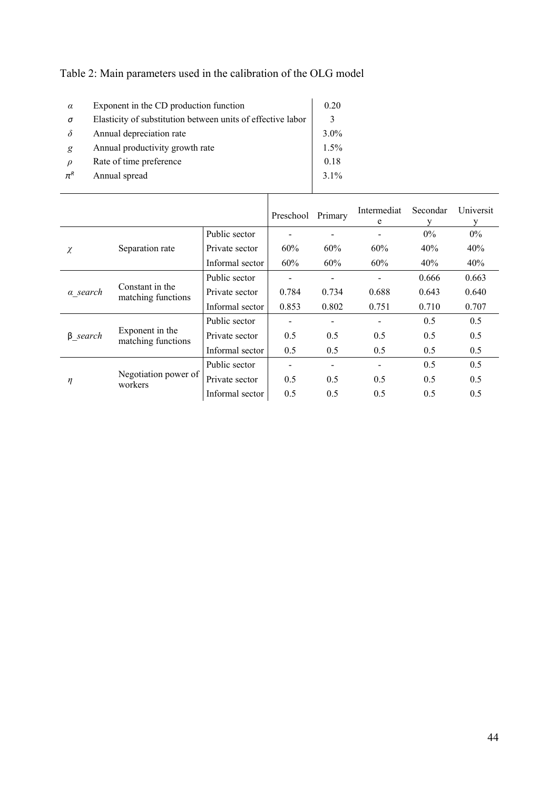| $\alpha$            | Exponent in the CD production function                      | 0.20    |
|---------------------|-------------------------------------------------------------|---------|
| σ                   | Elasticity of substitution between units of effective labor |         |
| $\delta$            | Annual depreciation rate                                    | 3.0%    |
| g                   | Annual productivity growth rate                             | 1.5%    |
| $\mathcal{D}$       | Rate of time preference                                     | 0.18    |
| $\pi^{\mathcal{R}}$ | Annual spread                                               | $3.1\%$ |
|                     |                                                             |         |

| Table 2: Main parameters used in the calibration of the OLG model |  |
|-------------------------------------------------------------------|--|
|-------------------------------------------------------------------|--|

|                             |                                       |                 | Preschool | Primary         | Intermediat<br>e | Secondar<br>v | Universit |
|-----------------------------|---------------------------------------|-----------------|-----------|-----------------|------------------|---------------|-----------|
|                             |                                       | Public sector   |           |                 | $\qquad \qquad$  | $0\%$         | $0\%$     |
| $\chi$                      | Separation rate                       | Private sector  | 60%       | 60%             | 60%              | 40%           | 40%       |
|                             |                                       | Informal sector | 60%       | 60%             | 60%              | 40%           | 40%       |
| Constant in the<br>a search |                                       | Public sector   |           |                 |                  | 0.666         | 0.663     |
|                             | matching functions                    | Private sector  | 0.784     | 0.734           | 0.688            | 0.643         | 0.640     |
|                             |                                       | Informal sector | 0.853     | 0.802           | 0.751            | 0.710         | 0.707     |
|                             |                                       | Public sector   |           | $\qquad \qquad$ | $\qquad \qquad$  | 0.5           | 0.5       |
| $\beta$ search              | Exponent in the<br>matching functions | Private sector  | 0.5       | 0.5             | 0.5              | 0.5           | 0.5       |
|                             |                                       | Informal sector | 0.5       | 0.5             | 0.5              | 0.5           | 0.5       |
|                             |                                       | Public sector   |           |                 |                  | 0.5           | 0.5       |
| η                           | Negotiation power of<br>workers       | Private sector  | 0.5       | 0.5             | 0.5              | 0.5           | 0.5       |
|                             |                                       | Informal sector | 0.5       | 0.5             | 0.5              | 0.5           | 0.5       |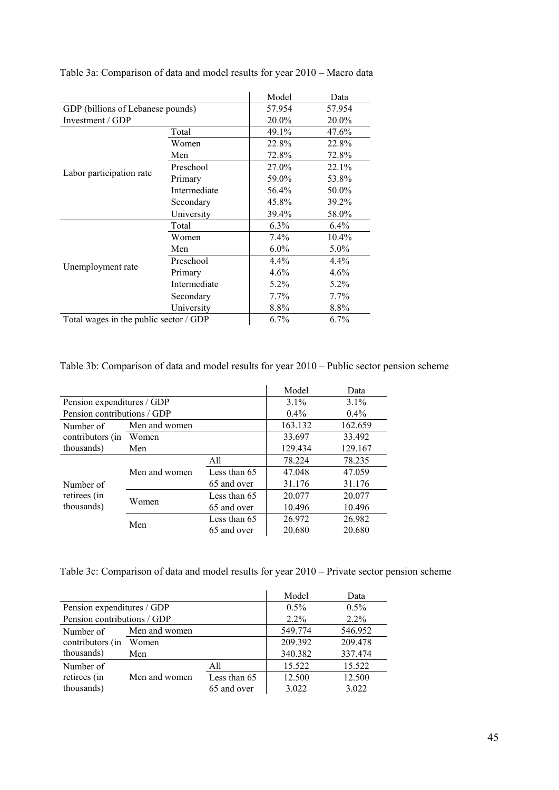|                                        |              | Model   | Data    |
|----------------------------------------|--------------|---------|---------|
| GDP (billions of Lebanese pounds)      |              | 57.954  | 57.954  |
| Investment / GDP                       | 20.0%        | 20.0%   |         |
|                                        | Total        | 49.1%   | 47.6%   |
| Labor participation rate               | Women        | 22.8%   | 22.8%   |
|                                        | Men          | 72.8%   | 72.8%   |
|                                        | Preschool    | 27.0%   | 22.1%   |
|                                        | Primary      | 59.0%   | 53.8%   |
|                                        | Intermediate | 56.4%   | 50.0%   |
|                                        | Secondary    | 45.8%   | 39.2%   |
|                                        | University   | 39.4%   | 58.0%   |
|                                        | Total        | $6.3\%$ | $6.4\%$ |
|                                        | Women        | $7.4\%$ | 10.4%   |
|                                        | Men          | $6.0\%$ | $5.0\%$ |
|                                        | Preschool    | 4.4%    | 4.4%    |
| Unemployment rate                      | Primary      | 4.6%    | $4.6\%$ |
|                                        | Intermediate | $5.2\%$ | 5.2%    |
|                                        | Secondary    | 7.7%    | 7.7%    |
|                                        | University   | 8.8%    | 8.8%    |
| Total wages in the public sector / GDP |              | 6.7%    | $6.7\%$ |

Table 3a: Comparison of data and model results for year 2010 – Macro data

Table 3b: Comparison of data and model results for year 2010 – Public sector pension scheme

|                             |               |              | Model   | Data    |
|-----------------------------|---------------|--------------|---------|---------|
| Pension expenditures / GDP  |               | $3.1\%$      | $3.1\%$ |         |
| Pension contributions / GDP |               |              | $0.4\%$ | $0.4\%$ |
| Number of                   | Men and women |              | 163.132 | 162.659 |
| contributors (in            | Women         |              | 33.697  | 33.492  |
| thousands)                  | Men           |              | 129.434 | 129.167 |
|                             |               | All          | 78.224  | 78.235  |
|                             | Men and women | Less than 65 | 47.048  | 47.059  |
| Number of                   |               | 65 and over  | 31.176  | 31.176  |
| retirees (in                |               | Less than 65 | 20.077  | 20.077  |
| thousands)                  | Women         | 65 and over  | 10.496  | 10.496  |
|                             |               | Less than 65 | 26.972  | 26.982  |
|                             | Men           | 65 and over  | 20.680  | 20.680  |

Table 3c: Comparison of data and model results for year 2010 – Private sector pension scheme

|                             |               |              | Model   | Data    |
|-----------------------------|---------------|--------------|---------|---------|
| Pension expenditures / GDP  |               | $0.5\%$      | $0.5\%$ |         |
| Pension contributions / GDP |               | $2.2\%$      | $2.2\%$ |         |
| Number of                   | Men and women |              | 549.774 | 546.952 |
| contributors (in            | Women         |              | 209.392 | 209.478 |
| thousands)                  | Men           |              | 340.382 | 337.474 |
| Number of                   |               | All          | 15.522  | 15.522  |
| retirees (in                | Men and women | Less than 65 | 12.500  | 12.500  |
| thousands)                  |               | 65 and over  | 3.022   | 3.022   |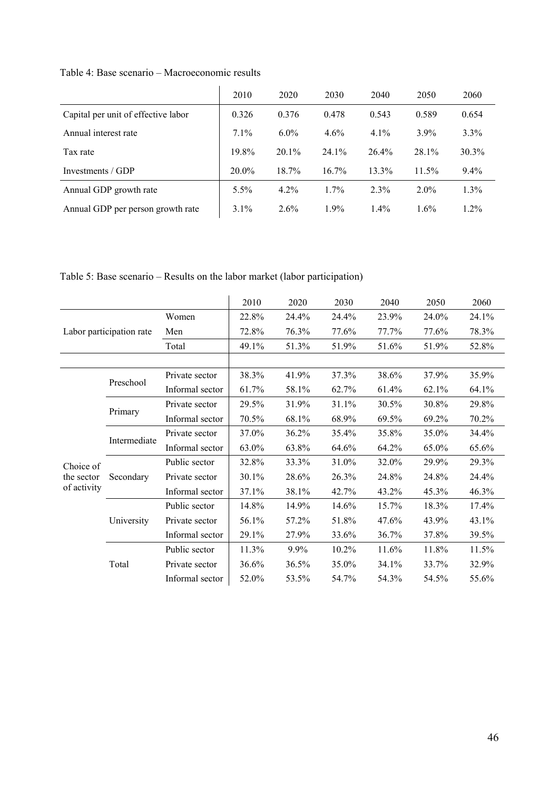|                                     | 2010     | 2020     | 2030     | 2040    | 2050     | 2060     |
|-------------------------------------|----------|----------|----------|---------|----------|----------|
| Capital per unit of effective labor | 0.326    | 0.376    | 0.478    | 0.543   | 0.589    | 0.654    |
| Annual interest rate                | $7.1\%$  | $6.0\%$  | $4.6\%$  | $4.1\%$ | $3.9\%$  | 3.3%     |
| Tax rate                            | 19.8%    | $20.1\%$ | $24.1\%$ | 26.4%   | 28.1%    | $30.3\%$ |
| Investments / GDP                   | $20.0\%$ | 18.7%    | $16.7\%$ | 13.3%   | $11.5\%$ | $9.4\%$  |
| Annual GDP growth rate              | $5.5\%$  | $4.2\%$  | $1.7\%$  | $2.3\%$ | $2.0\%$  | $1.3\%$  |
| Annual GDP per person growth rate   | $3.1\%$  | $2.6\%$  | $1.9\%$  | $1.4\%$ | $1.6\%$  | $1.2\%$  |

Table 4: Base scenario – Macroeconomic results

Table 5: Base scenario – Results on the labor market (labor participation)

|             |                          |                 | 2010  | 2020  | 2030  | 2040  | 2050  | 2060  |
|-------------|--------------------------|-----------------|-------|-------|-------|-------|-------|-------|
|             |                          | Women           | 22.8% | 24.4% | 24.4% | 23.9% | 24.0% | 24.1% |
|             | Labor participation rate | Men             | 72.8% | 76.3% | 77.6% | 77.7% | 77.6% | 78.3% |
|             |                          | Total           | 49.1% | 51.3% | 51.9% | 51.6% | 51.9% | 52.8% |
|             |                          |                 |       |       |       |       |       |       |
|             | Preschool                | Private sector  | 38.3% | 41.9% | 37.3% | 38.6% | 37.9% | 35.9% |
|             |                          | Informal sector | 61.7% | 58.1% | 62.7% | 61.4% | 62.1% | 64.1% |
|             |                          | Private sector  | 29.5% | 31.9% | 31.1% | 30.5% | 30.8% | 29.8% |
|             | Primary                  | Informal sector | 70.5% | 68.1% | 68.9% | 69.5% | 69.2% | 70.2% |
|             |                          | Private sector  | 37.0% | 36.2% | 35.4% | 35.8% | 35.0% | 34.4% |
|             | Intermediate             | Informal sector | 63.0% | 63.8% | 64.6% | 64.2% | 65.0% | 65.6% |
| Choice of   |                          | Public sector   | 32.8% | 33.3% | 31.0% | 32.0% | 29.9% | 29.3% |
| the sector  | Secondary                | Private sector  | 30.1% | 28.6% | 26.3% | 24.8% | 24.8% | 24.4% |
| of activity |                          | Informal sector | 37.1% | 38.1% | 42.7% | 43.2% | 45.3% | 46.3% |
|             |                          | Public sector   | 14.8% | 14.9% | 14.6% | 15.7% | 18.3% | 17.4% |
|             | University               | Private sector  | 56.1% | 57.2% | 51.8% | 47.6% | 43.9% | 43.1% |
|             |                          | Informal sector | 29.1% | 27.9% | 33.6% | 36.7% | 37.8% | 39.5% |
|             |                          | Public sector   | 11.3% | 9.9%  | 10.2% | 11.6% | 11.8% | 11.5% |
|             | Total                    | Private sector  | 36.6% | 36.5% | 35.0% | 34.1% | 33.7% | 32.9% |
|             |                          | Informal sector | 52.0% | 53.5% | 54.7% | 54.3% | 54.5% | 55.6% |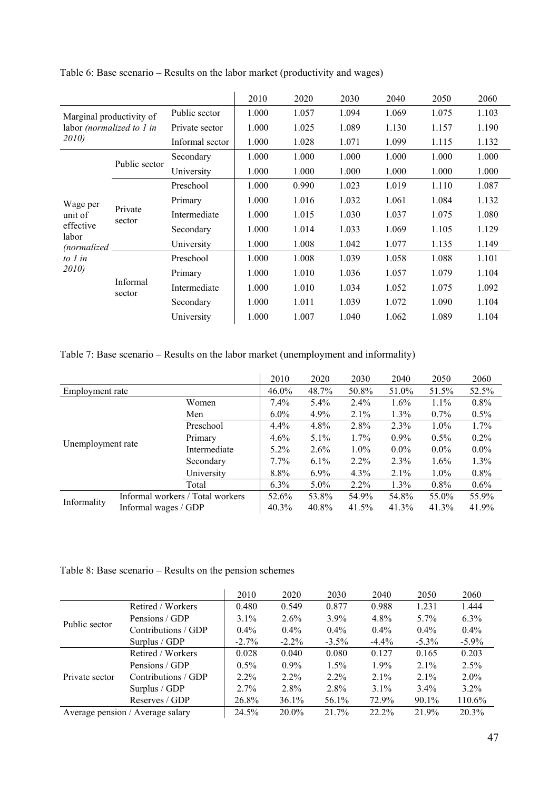|                           |                    |                 | 2010  | 2020  | 2030  | 2040  | 2050  | 2060  |
|---------------------------|--------------------|-----------------|-------|-------|-------|-------|-------|-------|
| Marginal productivity of  |                    | Public sector   | 1.000 | 1.057 | 1.094 | 1.069 | 1.075 | 1.103 |
| labor (normalized to 1 in |                    | Private sector  | 1.000 | 1.025 | 1.089 | 1.130 | 1.157 | 1.190 |
| 2010)                     |                    | Informal sector | 1.000 | 1.028 | 1.071 | 1.099 | 1.115 | 1.132 |
|                           | Public sector      | Secondary       | 1.000 | 1.000 | 1.000 | 1.000 | 1.000 | 1.000 |
|                           |                    | University      | 1.000 | 1.000 | 1.000 | 1.000 | 1.000 | 1.000 |
|                           | Private<br>sector  | Preschool       | 1.000 | 0.990 | 1.023 | 1.019 | 1.110 | 1.087 |
| Wage per                  |                    | Primary         | 1.000 | 1.016 | 1.032 | 1.061 | 1.084 | 1.132 |
| unit of                   |                    | Intermediate    | 1.000 | 1.015 | 1.030 | 1.037 | 1.075 | 1.080 |
| effective<br>labor        |                    | Secondary       | 1.000 | 1.014 | 1.033 | 1.069 | 1.105 | 1.129 |
| (normalized               |                    | University      | 1.000 | 1.008 | 1.042 | 1.077 | 1.135 | 1.149 |
| to $1$ in                 |                    | Preschool       | 1.000 | 1.008 | 1.039 | 1.058 | 1.088 | 1.101 |
| 2010)                     |                    | Primary         | 1.000 | 1.010 | 1.036 | 1.057 | 1.079 | 1.104 |
|                           | Informal<br>sector | Intermediate    | 1.000 | 1.010 | 1.034 | 1.052 | 1.075 | 1.092 |
|                           |                    | Secondary       | 1.000 | 1.011 | 1.039 | 1.072 | 1.090 | 1.104 |
|                           |                    | University      | 1.000 | 1.007 | 1.040 | 1.062 | 1.089 | 1.104 |

Table 6: Base scenario – Results on the labor market (productivity and wages)

Table 7: Base scenario – Results on the labor market (unemployment and informality)

|                   |                      |                                  | 2010     | 2020    | 2030    | 2040    | 2050    | 2060    |
|-------------------|----------------------|----------------------------------|----------|---------|---------|---------|---------|---------|
| Employment rate   |                      |                                  | $46.0\%$ | 48.7%   | 50.8%   | 51.0%   | 51.5%   | 52.5%   |
|                   |                      | Women                            | $7.4\%$  | $5.4\%$ | $2.4\%$ | $1.6\%$ | $1.1\%$ | 0.8%    |
|                   |                      | Men                              | $6.0\%$  | 4.9%    | $2.1\%$ | $1.3\%$ | $0.7\%$ | $0.5\%$ |
|                   |                      | Preschool                        | $4.4\%$  | $4.8\%$ | 2.8%    | 2.3%    | $1.0\%$ | 1.7%    |
|                   |                      | Primary                          | $4.6\%$  | $5.1\%$ | $1.7\%$ | $0.9\%$ | $0.5\%$ | $0.2\%$ |
| Unemployment rate |                      | Intermediate                     | $5.2\%$  | $2.6\%$ | $1.0\%$ | $0.0\%$ | $0.0\%$ | $0.0\%$ |
|                   |                      | Secondary                        | $7.7\%$  | $6.1\%$ | $2.2\%$ | $2.3\%$ | $1.6\%$ | $1.3\%$ |
|                   |                      | University                       | 8.8%     | $6.9\%$ | $4.3\%$ | $2.1\%$ | $1.0\%$ | $0.8\%$ |
|                   |                      | Total                            | $6.3\%$  | $5.0\%$ | $2.2\%$ | $1.3\%$ | $0.8\%$ | 0.6%    |
| Informality       |                      | Informal workers / Total workers | 52.6%    | 53.8%   | 54.9%   | 54.8%   | 55.0%   | 55.9%   |
|                   | Informal wages / GDP |                                  | 40.3%    | 40.8%   | 41.5%   | 41.3%   | 41.3%   | 41.9%   |

# Table 8: Base scenario – Results on the pension schemes

|                                  |                     | 2010     | 2020     | 2030     | 2040     | 2050     | 2060     |
|----------------------------------|---------------------|----------|----------|----------|----------|----------|----------|
|                                  | Retired / Workers   | 0.480    | 0.549    | 0.877    | 0.988    | 1.231    | 1.444    |
| Public sector                    | Pensions / GDP      | $3.1\%$  | $2.6\%$  | $3.9\%$  | $4.8\%$  | $5.7\%$  | $6.3\%$  |
|                                  | Contributions / GDP | $0.4\%$  | $0.4\%$  | $0.4\%$  | $0.4\%$  | $0.4\%$  | $0.4\%$  |
|                                  | Surplus / GDP       | $-2.7\%$ | $-2.2\%$ | $-3.5\%$ | $-4.4\%$ | $-5.3\%$ | $-5.9\%$ |
|                                  | Retired / Workers   | 0.028    | 0.040    | 0.080    | 0.127    | 0.165    | 0.203    |
|                                  | Pensions / GDP      | $0.5\%$  | $0.9\%$  | $1.5\%$  | $1.9\%$  | $2.1\%$  | 2.5%     |
| Private sector                   | Contributions / GDP | $2.2\%$  | $2.2\%$  | $2.2\%$  | $2.1\%$  | $2.1\%$  | $2.0\%$  |
|                                  | Surplus / GDP       | $2.7\%$  | $2.8\%$  | 2.8%     | $3.1\%$  | $3.4\%$  | $3.2\%$  |
|                                  | Reserves / GDP      | 26.8%    | 36.1%    | 56.1%    | 72.9%    | 90.1%    | 110.6%   |
| Average pension / Average salary |                     | 24.5%    | $20.0\%$ | 21.7%    | 22.2%    | 21.9%    | 20.3%    |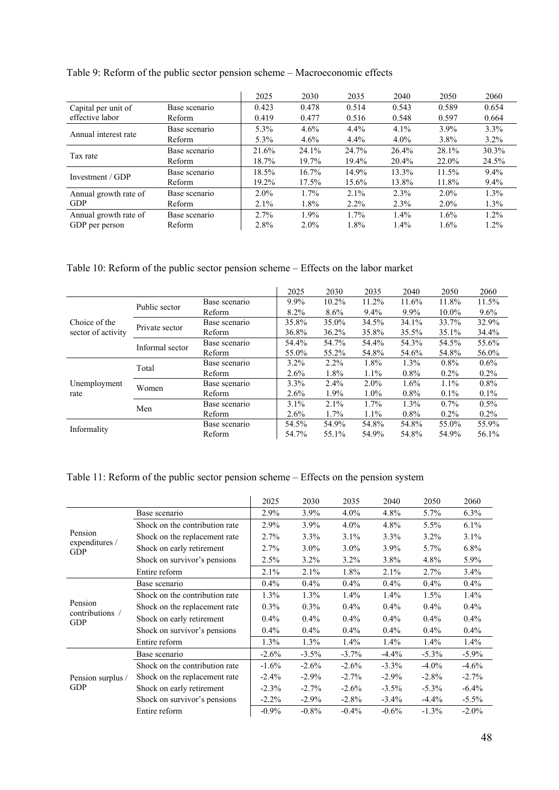|                       |               | 2025    | 2030    | 2035    | 2040    | 2050    | 2060    |
|-----------------------|---------------|---------|---------|---------|---------|---------|---------|
| Capital per unit of   | Base scenario | 0.423   | 0.478   | 0.514   | 0.543   | 0.589   | 0.654   |
| effective labor       | Reform        | 0.419   | 0.477   | 0.516   | 0.548   | 0.597   | 0.664   |
| Annual interest rate  | Base scenario | 5.3%    | 4.6%    | $4.4\%$ | 4.1%    | 3.9%    | $3.3\%$ |
|                       | Reform        | 5.3%    | $4.6\%$ | $4.4\%$ | $4.0\%$ | 3.8%    | $3.2\%$ |
| Tax rate              | Base scenario | 21.6%   | 24.1%   | 24.7%   | 26.4%   | 28.1%   | 30.3%   |
|                       | Reform        | 18.7%   | 19.7%   | 19.4%   | 20.4%   | 22.0%   | 24.5%   |
| Investment / GDP      | Base scenario | 18.5%   | 16.7%   | 14.9%   | 13.3%   | 11.5%   | $9.4\%$ |
|                       | Reform        | 19.2%   | 17.5%   | 15.6%   | 13.8%   | 11.8%   | $9.4\%$ |
| Annual growth rate of | Base scenario | $2.0\%$ | 1.7%    | $2.1\%$ | 2.3%    | $2.0\%$ | 1.3%    |
| <b>GDP</b>            | Reform        | 2.1%    | 1.8%    | $2.2\%$ | 2.3%    | $2.0\%$ | $1.3\%$ |
| Annual growth rate of | Base scenario | 2.7%    | 1.9%    | $1.7\%$ | $1.4\%$ | 1.6%    | $1.2\%$ |
| GDP per person        | Reform        | 2.8%    | $2.0\%$ | 1.8%    | $1.4\%$ | 1.6%    | $1.2\%$ |

Table 9: Reform of the public sector pension scheme – Macroeconomic effects

Table 10: Reform of the public sector pension scheme – Effects on the labor market

|                                     |                 |               | 2025    | 2030     | 2035    | 2040    | 2050    | 2060    |
|-------------------------------------|-----------------|---------------|---------|----------|---------|---------|---------|---------|
| Choice of the<br>sector of activity | Public sector   | Base scenario | $9.9\%$ | $10.2\%$ | 11.2%   | 11.6%   | 11.8%   | 11.5%   |
|                                     |                 | Reform        | 8.2%    | $8.6\%$  | $9.4\%$ | 9.9%    | 10.0%   | $9.6\%$ |
|                                     | Private sector  | Base scenario | 35.8%   | 35.0%    | 34.5%   | 34.1%   | 33.7%   | 32.9%   |
|                                     |                 | Reform        | 36.8%   | $36.2\%$ | 35.8%   | 35.5%   | 35.1%   | 34.4%   |
|                                     | Informal sector | Base scenario | 54.4%   | 54.7%    | 54.4%   | 54.3%   | 54.5%   | 55.6%   |
|                                     |                 | Reform        | 55.0%   | 55.2%    | 54.8%   | 54.6%   | 54.8%   | 56.0%   |
| Unemployment<br>rate                | Total           | Base scenario | $3.2\%$ | $2.2\%$  | 1.8%    | 1.3%    | $0.8\%$ | $0.6\%$ |
|                                     |                 | Reform        | 2.6%    | 1.8%     | $1.1\%$ | $0.8\%$ | $0.2\%$ | $0.2\%$ |
|                                     | Women           | Base scenario | 3.3%    | 2.4%     | $2.0\%$ | 1.6%    | $1.1\%$ | $0.8\%$ |
|                                     |                 | Reform        | 2.6%    | 1.9%     | $1.0\%$ | $0.8\%$ | $0.1\%$ | $0.1\%$ |
|                                     |                 | Base scenario | $3.1\%$ | 2.1%     | 1.7%    | 1.3%    | $0.7\%$ | $0.5\%$ |
|                                     | Men             | Reform        | $2.6\%$ | 1.7%     | $1.1\%$ | $0.8\%$ | $0.2\%$ | $0.2\%$ |
| Informality                         |                 | Base scenario | 54.5%   | 54.9%    | 54.8%   | 54.8%   | 55.0%   | 55.9%   |
|                                     |                 | Reform        | 54.7%   | 55.1%    | 54.9%   | 54.8%   | 54.9%   | 56.1%   |

# Table 11: Reform of the public sector pension scheme – Effects on the pension system

|                                         |                                | 2025     | 2030     | 2035     | 2040     | 2050     | 2060     |
|-----------------------------------------|--------------------------------|----------|----------|----------|----------|----------|----------|
| Pension<br>expenditures /<br><b>GDP</b> | Base scenario                  | 2.9%     | 3.9%     | $4.0\%$  | 4.8%     | 5.7%     | 6.3%     |
|                                         | Shock on the contribution rate | 2.9%     | 3.9%     | $4.0\%$  | 4.8%     | 5.5%     | $6.1\%$  |
|                                         | Shock on the replacement rate  | 2.7%     | 3.3%     | $3.1\%$  | 3.3%     | $3.2\%$  | 3.1%     |
|                                         | Shock on early retirement      | 2.7%     | $3.0\%$  | $3.0\%$  | $3.9\%$  | 5.7%     | 6.8%     |
|                                         | Shock on survivor's pensions   | 2.5%     | $3.2\%$  | $3.2\%$  | 3.8%     | 4.8%     | 5.9%     |
|                                         | Entire reform                  | 2.1%     | 2.1%     | 1.8%     | 2.1%     | 2.7%     | 3.4%     |
|                                         | Base scenario                  | 0.4%     | 0.4%     | 0.4%     | 0.4%     | 0.4%     | 0.4%     |
|                                         | Shock on the contribution rate | $1.3\%$  | 1.3%     | 1.4%     | 1.4%     | 1.5%     | 1.4%     |
| Pension<br>contributions /              | Shock on the replacement rate  | $0.3\%$  | 0.3%     | 0.4%     | 0.4%     | 0.4%     | $0.4\%$  |
| <b>GDP</b>                              | Shock on early retirement      | 0.4%     | $0.4\%$  | 0.4%     | 0.4%     | $0.4\%$  | 0.4%     |
|                                         | Shock on survivor's pensions   | $0.4\%$  | $0.4\%$  | $0.4\%$  | $0.4\%$  | $0.4\%$  | $0.4\%$  |
|                                         | Entire reform                  | $1.3\%$  | $1.3\%$  | 1.4%     | 1.4%     | 1.4%     | 1.4%     |
|                                         | Base scenario                  | $-2.6\%$ | $-3.5\%$ | $-3.7\%$ | $-4.4%$  | $-5.3\%$ | $-5.9\%$ |
|                                         | Shock on the contribution rate | $-1.6%$  | $-2.6%$  | $-2.6%$  | $-3.3\%$ | $-4.0\%$ | $-4.6%$  |
| Pension surplus /<br>GDP                | Shock on the replacement rate  | $-2.4%$  | $-2.9\%$ | $-2.7%$  | $-2.9\%$ | $-2.8\%$ | $-2.7%$  |
|                                         | Shock on early retirement      | $-2.3\%$ | $-2.7\%$ | $-2.6\%$ | $-3.5\%$ | $-5.3\%$ | $-6.4\%$ |
|                                         | Shock on survivor's pensions   | $-2.2\%$ | $-2.9\%$ | $-2.8\%$ | $-3.4\%$ | $-4.4%$  | $-5.5\%$ |
|                                         | Entire reform                  | $-0.9\%$ | $-0.8\%$ | $-0.4%$  | $-0.6%$  | $-1.3\%$ | $-2.0\%$ |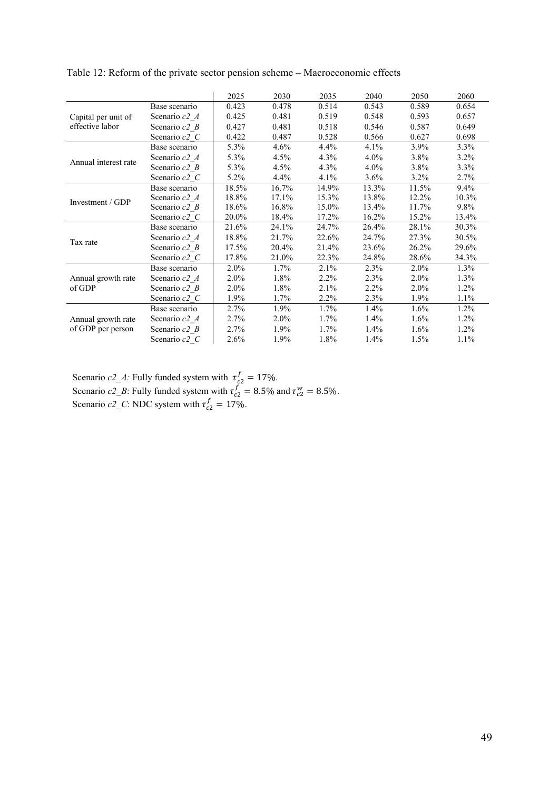|                                         |               | 2025    | 2030  | 2035    | 2040    | 2050    | 2060    |
|-----------------------------------------|---------------|---------|-------|---------|---------|---------|---------|
|                                         | Base scenario | 0.423   | 0.478 | 0.514   | 0.543   | 0.589   | 0.654   |
| Capital per unit of                     | Scenario c2 A | 0.425   | 0.481 | 0.519   | 0.548   | 0.593   | 0.657   |
| effective labor                         | Scenario c2 B | 0.427   | 0.481 | 0.518   | 0.546   | 0.587   | 0.649   |
|                                         | Scenario c2 C | 0.422   | 0.487 | 0.528   | 0.566   | 0.627   | 0.698   |
|                                         | Base scenario | 5.3%    | 4.6%  | 4.4%    | 4.1%    | 3.9%    | 3.3%    |
| Annual interest rate                    | Scenario c2 A | 5.3%    | 4.5%  | 4.3%    | $4.0\%$ | 3.8%    | $3.2\%$ |
|                                         | Scenario c2 B | 5.3%    | 4.5%  | 4.3%    | 4.0%    | 3.8%    | $3.3\%$ |
|                                         | Scenario c2 C | 5.2%    | 4.4%  | 4.1%    | $3.6\%$ | $3.2\%$ | 2.7%    |
|                                         | Base scenario | 18.5%   | 16.7% | 14.9%   | 13.3%   | 11.5%   | $9.4\%$ |
| Investment / GDP                        | Scenario c2 A | 18.8%   | 17.1% | 15.3%   | 13.8%   | 12.2%   | 10.3%   |
|                                         | Scenario c2 B | 18.6%   | 16.8% | 15.0%   | 13.4%   | 11.7%   | 9.8%    |
|                                         | Scenario c2 C | 20.0%   | 18.4% | 17.2%   | 16.2%   | 15.2%   | 13.4%   |
|                                         | Base scenario | 21.6%   | 24.1% | 24.7%   | 26.4%   | 28.1%   | 30.3%   |
| Tax rate                                | Scenario c2 A | 18.8%   | 21.7% | 22.6%   | 24.7%   | 27.3%   | 30.5%   |
|                                         | Scenario c2 B | 17.5%   | 20.4% | 21.4%   | 23.6%   | 26.2%   | 29.6%   |
|                                         | Scenario c2 C | 17.8%   | 21.0% | 22.3%   | 24.8%   | 28.6%   | 34.3%   |
|                                         | Base scenario | $2.0\%$ | 1.7%  | 2.1%    | 2.3%    | $2.0\%$ | 1.3%    |
| Annual growth rate                      | Scenario c2 A | 2.0%    | 1.8%  | 2.2%    | 2.3%    | $2.0\%$ | 1.3%    |
| of GDP                                  | Scenario c2 B | 2.0%    | 1.8%  | 2.1%    | 2.2%    | $2.0\%$ | $1.2\%$ |
|                                         | Scenario c2 C | 1.9%    | 1.7%  | $2.2\%$ | 2.3%    | 1.9%    | $1.1\%$ |
| Annual growth rate<br>of GDP per person | Base scenario | 2.7%    | 1.9%  | $1.7\%$ | 1.4%    | 1.6%    | 1.2%    |
|                                         | Scenario c2 A | 2.7%    | 2.0%  | $1.7\%$ | 1.4%    | $1.6\%$ | $1.2\%$ |
|                                         | Scenario c2 B | 2.7%    | 1.9%  | $1.7\%$ | $1.4\%$ | $1.6\%$ | $1.2\%$ |
|                                         | Scenario c2 C | 2.6%    | 1.9%  | 1.8%    | 1.4%    | $1.5\%$ | $1.1\%$ |

Table 12: Reform of the private sector pension scheme – Macroeconomic effects

Scenario  $c2_{A}$ : Fully funded system with  $\tau_{c2}^f = 17\%$ . Scenario  $c2_{B}$ : Fully funded system with  $\tau_{c2}^f = 8.5\%$  and  $\tau_{c2}^w = 8.5\%$ . Scenario  $c2$ <sub>*\_C*</sub>: NDC system with  $\tau_{c2}^f = 17\%$ .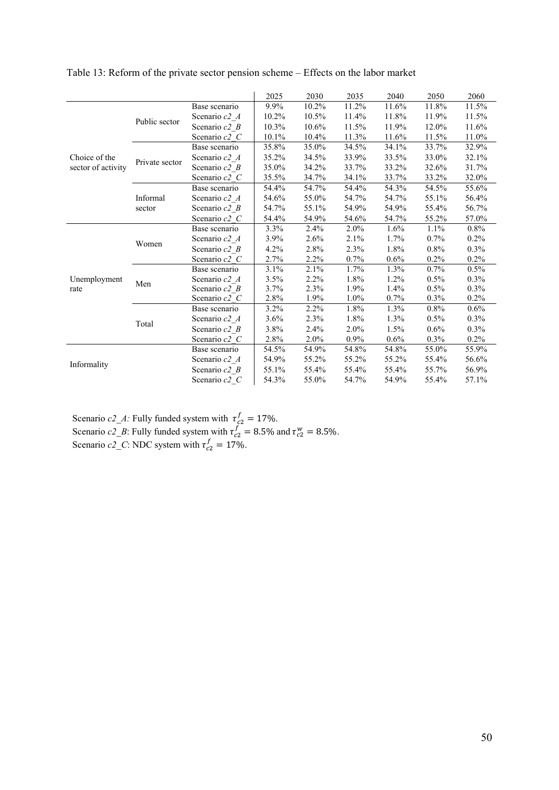|                    |                |                           | 2025  | 2030  | 2035    | 2040    | 2050    | 2060    |
|--------------------|----------------|---------------------------|-------|-------|---------|---------|---------|---------|
|                    |                | Base scenario             | 9.9%  | 10.2% | 11.2%   | 11.6%   | 11.8%   | 11.5%   |
|                    |                | Scenario c2 A             | 10.2% | 10.5% | 11.4%   | 11.8%   | 11.9%   | 11.5%   |
|                    | Public sector  | Scenario $c2$ B           | 10.3% | 10.6% | 11.5%   | 11.9%   | 12.0%   | 11.6%   |
|                    |                | Scenario c2 C             | 10.1% | 10.4% | 11.3%   | 11.6%   | 11.5%   | 11.0%   |
|                    |                | Base scenario             | 35.8% | 35.0% | 34.5%   | 34.1%   | 33.7%   | 32.9%   |
| Choice of the      |                | Scenario c2 A             | 35.2% | 34.5% | 33.9%   | 33.5%   | 33.0%   | 32.1%   |
| sector of activity | Private sector | Scenario $c2$ B           | 35.0% | 34.2% | 33.7%   | 33.2%   | 32.6%   | 31.7%   |
|                    |                | Scenario c2 C             | 35.5% | 34.7% | 34.1%   | 33.7%   | 33.2%   | 32.0%   |
|                    |                | Base scenario             | 54.4% | 54.7% | 54.4%   | 54.3%   | 54.5%   | 55.6%   |
|                    | Informal       | Scenario c2 A             | 54.6% | 55.0% | 54.7%   | 54.7%   | 55.1%   | 56.4%   |
|                    | sector         | Scenario $c2$ B           | 54.7% | 55.1% | 54.9%   | 54.9%   | 55.4%   | 56.7%   |
|                    |                | Scenario c2 C             | 54.4% | 54.9% | 54.6%   | 54.7%   | 55.2%   | 57.0%   |
|                    | Women          | Base scenario             | 3.3%  | 2.4%  | 2.0%    | 1.6%    | 1.1%    | 0.8%    |
|                    |                | Scenario c <sub>2</sub> A | 3.9%  | 2.6%  | 2.1%    | 1.7%    | 0.7%    | $0.2\%$ |
|                    |                | Scenario $c2$ B           | 4.2%  | 2.8%  | 2.3%    | 1.8%    | 0.8%    | 0.3%    |
|                    |                | Scenario $c2$ $C$         | 2.7%  | 2.2%  | 0.7%    | 0.6%    | 0.2%    | $0.2\%$ |
|                    | Men            | Base scenario             | 3.1%  | 2.1%  | 1.7%    | $1.3\%$ | $0.7\%$ | $0.5\%$ |
| Unemployment       |                | Scenario c2 A             | 3.5%  | 2.2%  | 1.8%    | 1.2%    | 0.5%    | $0.3\%$ |
| rate               |                | Scenario $c2$ B           | 3.7%  | 2.3%  | 1.9%    | 1.4%    | 0.5%    | $0.3\%$ |
|                    |                | Scenario $c2$ $C$         | 2.8%  | 1.9%  | 1.0%    | $0.7\%$ | 0.3%    | 0.2%    |
|                    |                | Base scenario             | 3.2%  | 2.2%  | 1.8%    | 1.3%    | 0.8%    | $0.6\%$ |
|                    | Total          | Scenario c2 A             | 3.6%  | 2.3%  | 1.8%    | 1.3%    | 0.5%    | $0.3\%$ |
|                    |                | Scenario $c2$ B           | 3.8%  | 2.4%  | 2.0%    | 1.5%    | 0.6%    | $0.3\%$ |
|                    |                | Scenario c2 C             | 2.8%  | 2.0%  | $0.9\%$ | 0.6%    | 0.3%    | $0.2\%$ |
|                    |                | Base scenario             | 54.5% | 54.9% | 54.8%   | 54.8%   | 55.0%   | 55.9%   |
|                    |                | Scenario c2 A             | 54.9% | 55.2% | 55.2%   | 55.2%   | 55.4%   | 56.6%   |
| Informality        |                | Scenario c2 B             | 55.1% | 55.4% | 55.4%   | 55.4%   | 55.7%   | 56.9%   |
|                    |                | Scenario c2 C             | 54.3% | 55.0% | 54.7%   | 54.9%   | 55.4%   | 57.1%   |

Table 13: Reform of the private sector pension scheme – Effects on the labor market

Scenario  $c2_{A}$ : Fully funded system with  $\tau_{c2}^f = 17\%$ . Scenario  $c2_{B}$ : Fully funded system with  $\tau_{c2}^f = 8.5\%$  and  $\tau_{c2}^w = 8.5\%$ . Scenario  $c2$ <sub>*\_C*</sub>: NDC system with  $\tau_{c2}^f = 17\%$ .